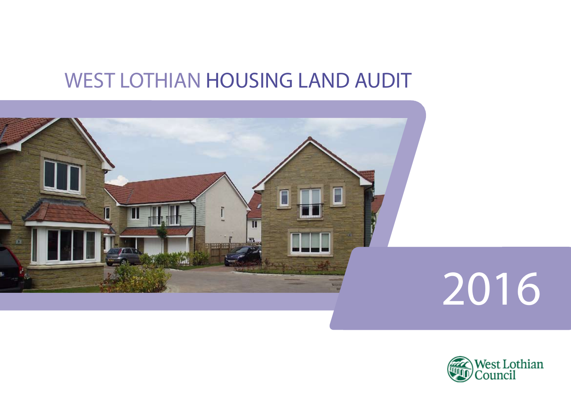## WEST LOTHIAN HOUSING LAND AUDIT



# 2016

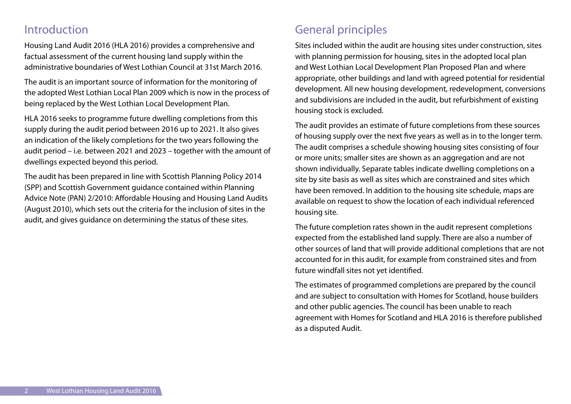#### Introduction

Housing Land Audit 2016 (HLA 2016) provides a comprehensive and factual assessment of the current housing land supply within the administrative boundaries of West Lothian Council at 31st March 2016.

The audit is an important source of information for the monitoring of the adopted West Lothian Local Plan 2009 which is now in the process of being replaced by the West Lothian Local Development Plan.

HLA 2016 seeks to programme future dwelling completions from this supply during the audit period between 2016 up to 2021. It also gives an indication of the likely completions for the two years following the audit period – i.e. between 2021 and 2023 – together with the amount of dwellings expected beyond this period.

The audit has been prepared in line with Scottish Planning Policy 2014 (SPP) and Scottish Government guidance contained within Planning Advice Note (PAN) 2/2010: Affordable Housing and Housing Land Audits (August 2010), which sets out the criteria for the inclusion of sites in the audit, and gives guidance on determining the status of these sites.

## General principles

Sites included within the audit are housing sites under construction, sites with planning permission for housing, sites in the adopted local plan and West Lothian Local Development Plan Proposed Plan and where appropriate, other buildings and land with agreed potential for residential development. All new housing development, redevelopment, conversions and subdivisions are included in the audit, but refurbishment of existing housing stock is excluded.

The audit provides an estimate of future completions from these sources of housing supply over the next five years as well as in to the longer term. The audit comprises a schedule showing housing sites consisting of four or more units; smaller sites are shown as an aggregation and are not shown individually. Separate tables indicate dwelling completions on a site by site basis as well as sites which are constrained and sites which have been removed. In addition to the housing site schedule, maps are available on request to show the location of each individual referenced housing site.

The future completion rates shown in the audit represent completions expected from the established land supply. There are also a number of other sources of land that will provide additional completions that are not accounted for in this audit, for example from constrained sites and from future windfall sites not yet identified.

The estimates of programmed completions are prepared by the council and are subject to consultation with Homes for Scotland, house builders and other public agencies. The council has been unable to reach agreement with Homes for Scotland and HLA 2016 is therefore published as a disputed Audit.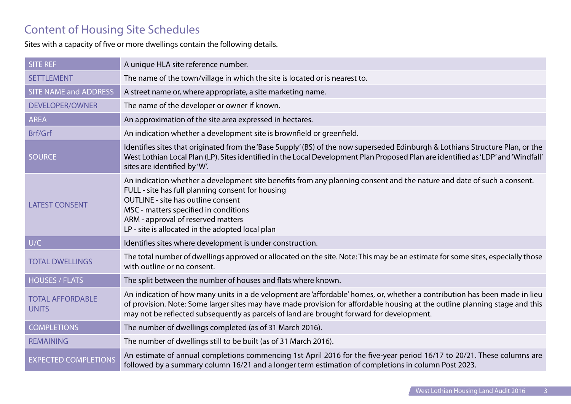## Content of Housing Site Schedules

Sites with a capacity of five or more dwellings contain the following details.

| <b>SITE REF</b>                         | A unique HLA site reference number.                                                                                                                                                                                                                                                                                                                         |
|-----------------------------------------|-------------------------------------------------------------------------------------------------------------------------------------------------------------------------------------------------------------------------------------------------------------------------------------------------------------------------------------------------------------|
| <b>SETTLEMENT</b>                       | The name of the town/village in which the site is located or is nearest to.                                                                                                                                                                                                                                                                                 |
| <b>SITE NAME and ADDRESS</b>            | A street name or, where appropriate, a site marketing name.                                                                                                                                                                                                                                                                                                 |
| <b>DEVELOPER/OWNER</b>                  | The name of the developer or owner if known.                                                                                                                                                                                                                                                                                                                |
| <b>AREA</b>                             | An approximation of the site area expressed in hectares.                                                                                                                                                                                                                                                                                                    |
| Brf/Grf                                 | An indication whether a development site is brownfield or greenfield.                                                                                                                                                                                                                                                                                       |
| <b>SOURCE</b>                           | Identifies sites that originated from the 'Base Supply' (BS) of the now superseded Edinburgh & Lothians Structure Plan, or the<br>West Lothian Local Plan (LP). Sites identified in the Local Development Plan Proposed Plan are identified as 'LDP' and 'Windfall'<br>sites are identified by 'W'.                                                         |
| <b>LATEST CONSENT</b>                   | An indication whether a development site benefits from any planning consent and the nature and date of such a consent.<br>FULL - site has full planning consent for housing<br><b>OUTLINE - site has outline consent</b><br>MSC - matters specified in conditions<br>ARM - approval of reserved matters<br>LP - site is allocated in the adopted local plan |
| U/C                                     | Identifies sites where development is under construction.                                                                                                                                                                                                                                                                                                   |
| <b>TOTAL DWELLINGS</b>                  | The total number of dwellings approved or allocated on the site. Note: This may be an estimate for some sites, especially those<br>with outline or no consent.                                                                                                                                                                                              |
| <b>HOUSES / FLATS</b>                   | The split between the number of houses and flats where known.                                                                                                                                                                                                                                                                                               |
| <b>TOTAL AFFORDABLE</b><br><b>UNITS</b> | An indication of how many units in a de velopment are 'affordable' homes, or, whether a contribution has been made in lieu<br>of provision. Note: Some larger sites may have made provision for affordable housing at the outline planning stage and this<br>may not be reflected subsequently as parcels of land are brought forward for development.      |
| <b>COMPLETIONS</b>                      | The number of dwellings completed (as of 31 March 2016).                                                                                                                                                                                                                                                                                                    |
| <b>REMAINING</b>                        | The number of dwellings still to be built (as of 31 March 2016).                                                                                                                                                                                                                                                                                            |
| <b>EXPECTED COMPLETIONS</b>             | An estimate of annual completions commencing 1st April 2016 for the five-year period 16/17 to 20/21. These columns are<br>followed by a summary column 16/21 and a longer term estimation of completions in column Post 2023.                                                                                                                               |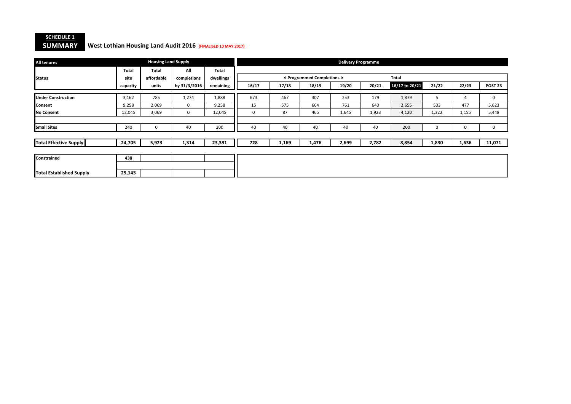#### **SCHEDULE 1SUMMARY**

#### **SUMMARY West Lothian Housing Land Audit 2016 (FINALISED 10 MAY 2017)**

| <b>All tenures</b>              |              | <b>Housing Land Supply</b> |              |              |          |       |                            | <b>Delivery Programme</b> |       |                |       |       |                    |
|---------------------------------|--------------|----------------------------|--------------|--------------|----------|-------|----------------------------|---------------------------|-------|----------------|-------|-------|--------------------|
|                                 | <b>Total</b> | <b>Total</b>               | All          | <b>Total</b> |          |       |                            |                           |       |                |       |       |                    |
| <b>Status</b>                   | site         | affordable                 | completions  | dwellings    |          |       | ◀ Programmed Completions ▶ |                           |       | <b>Total</b>   |       |       |                    |
|                                 | capacity     | units                      | by 31/3/2016 | remaining    | 16/17    | 17/18 | 18/19                      | 19/20                     | 20/21 | 16/17 to 20/21 | 21/22 | 22/23 | POST <sub>23</sub> |
| <b>Under Construction</b>       | 3,162        | 785                        | 1,274        | 1,888        | 673      | 467   | 307                        | 253                       | 179   | 1,879          | 5     | 4     | 0                  |
| <b>Consent</b>                  | 9,258        | 2,069                      | $\mathbf{0}$ | 9,258        | 15       | 575   | 664                        | 761                       | 640   | 2,655          | 503   | 477   | 5,623              |
| No Consent                      | 12,045       | 3,069                      | 0            | 12,045       | $\Omega$ | 87    | 465                        | 1,645                     | 1,923 | 4,120          | 1,322 | 1,155 | 5,448              |
|                                 |              |                            |              |              |          |       |                            |                           |       |                |       |       |                    |
| <b>Small Sites</b>              | 240          | 0                          | 40           | 200          | 40       | 40    | 40                         | 40                        | 40    | 200            | 0     | 0     | 0                  |
|                                 |              |                            |              |              |          |       |                            |                           |       |                |       |       |                    |
| <b>Total Effective Supply</b>   | 24,705       | 5,923                      | 1,314        | 23,391       | 728      | 1,169 | 1,476                      | 2,699                     | 2,782 | 8,854          | 1,830 | 1,636 | 11,071             |
|                                 |              |                            |              |              |          |       |                            |                           |       |                |       |       |                    |
| Constrained                     | 438          |                            |              |              |          |       |                            |                           |       |                |       |       |                    |
|                                 |              |                            |              |              |          |       |                            |                           |       |                |       |       |                    |
| <b>Total Established Supply</b> | 25,143       |                            |              |              |          |       |                            |                           |       |                |       |       |                    |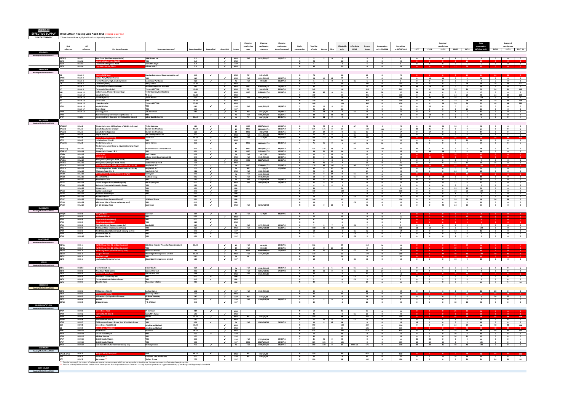**SCHEDULE 2**

| <b>HLA</b><br>reference          |                                   |                                                                                                                                                                                          |                                                                 |                 |                                        |                                           |                            | Planning            | Planning                   | Planning                        |                                         |                             |                                                                |                                       |                    |                                                    |                                                    |                            |                                                    |                                                | Expected                                           |                                                    |                                                     | <b>Total</b>                   |                                                     | Expected                                                                                                                                                                                                                                                                                                                                                                                                                                                                                     |                                            |
|----------------------------------|-----------------------------------|------------------------------------------------------------------------------------------------------------------------------------------------------------------------------------------|-----------------------------------------------------------------|-----------------|----------------------------------------|-------------------------------------------|----------------------------|---------------------|----------------------------|---------------------------------|-----------------------------------------|-----------------------------|----------------------------------------------------------------|---------------------------------------|--------------------|----------------------------------------------------|----------------------------------------------------|----------------------------|----------------------------------------------------|------------------------------------------------|----------------------------------------------------|----------------------------------------------------|-----------------------------------------------------|--------------------------------|-----------------------------------------------------|----------------------------------------------------------------------------------------------------------------------------------------------------------------------------------------------------------------------------------------------------------------------------------------------------------------------------------------------------------------------------------------------------------------------------------------------------------------------------------------------|--------------------------------------------|
|                                  | LDP<br>reference                  | <b>Site Name/Location</b>                                                                                                                                                                | Developer (or owner)                                            | Gross Area (ha) | <b>Brownfield</b>                      | Greenfield                                | Source                     | application<br>type | application<br>reference   | application<br>date of approval | Under<br>construction                   | <b>Total No</b><br>of units | Flats<br>ouses                                                 | Affordable<br>units                   | Affordabl<br>CS/AP | Private<br>Sector                                  | Completion<br>at 31/03/2016                        | Remaining<br>at 01/04/2016 | 16/17                                              | 17/18                                          | <b>completions</b><br>18/19                        |                                                    |                                                     | 19/20 20/21 16/17 to 20/21     | 21/22                                               | completions<br>22/23 POST 23                                                                                                                                                                                                                                                                                                                                                                                                                                                                 |                                            |
| <b>Housing Market Area WLC02</b> |                                   |                                                                                                                                                                                          |                                                                 |                 |                                        |                                           |                            |                     |                            |                                 |                                         |                             |                                                                |                                       |                    |                                                    |                                                    |                            |                                                    |                                                |                                                    |                                                    |                                                     |                                |                                                     |                                                                                                                                                                                                                                                                                                                                                                                                                                                                                              |                                            |
| 26/7(2)                          | H-AD <sub>1</sub>                 | <b>Ross Court (Muirhousedyes Mains)</b>                                                                                                                                                  | <b>ARH Homes Ltd</b>                                            | 0.2             |                                        | $\sim$                                    | <b>WILP</b>                | <b>Full</b>         | 0829/FUL/10                | 11/01/11                        | Y                                       |                             | 5 5 0                                                          | $\bullet$                             |                    | 5                                                  | $\blacksquare$                                     | $\overline{a}$             |                                                    |                                                |                                                    |                                                    |                                                     |                                |                                                     | 0 0 0 0 2 2 4 0 0 0                                                                                                                                                                                                                                                                                                                                                                                                                                                                          |                                            |
| 26/8<br>26/9                     | $H-AD2$<br>H-AD <sub>3</sub>      | Land north of Loganlea Road                                                                                                                                                              | <b>WLC</b><br>Mr & Mrs Doyle                                    | 1.0<br>0.4      |                                        | $\epsilon$<br>$\checkmark$                | <b>WLLP</b><br><b>LDP</b>  |                     |                            |                                 | $\mathsf{N}$<br>N                       | 20<br>$5^{\circ}$           |                                                                | 20<br>$\overline{\mathbf{0}}$         |                    | $\overline{0}$<br>$5 -$                            | $\overline{\mathbf{0}}$<br>$\mathbf{0}$            | 20<br>5                    |                                                    |                                                |                                                    |                                                    |                                                     |                                |                                                     | 0 0 0 0 0 5 5 0 0 0                                                                                                                                                                                                                                                                                                                                                                                                                                                                          |                                            |
| 26/6                             | H-AD4                             | anlea Crescent/Place                                                                                                                                                                     | Private + WLC                                                   | 2.3             |                                        | $\checkmark$                              | <b>WLLP</b>                |                     |                            |                                 | N                                       | 35                          |                                                                | 35                                    |                    | $\bullet$                                          | $\mathbf 0$                                        | 35                         |                                                    |                                                |                                                    |                                                    | 23                                                  | 35                             |                                                     |                                                                                                                                                                                                                                                                                                                                                                                                                                                                                              |                                            |
|                                  | H-AM <sub>2</sub>                 | atherfield West                                                                                                                                                                          | <b>Dundas Estates and Development Co Ltd</b>                    | 3.10            | $\checkmark$                           |                                           | <b>WLLP</b>                | PiP                 | 0451/P/09                  |                                 | $\mathsf{N}$                            | 70                          |                                                                | 10                                    |                    | 60                                                 | $\bullet$                                          | 70                         | $\overline{\mathbf{0}}$                            |                                                |                                                    | $\circ$                                            | 24                                                  | - 24                           |                                                     | 22                                                                                                                                                                                                                                                                                                                                                                                                                                                                                           |                                            |
| СS<br>1/29c                      | H-AM 3                            | Nelson Park/Mallace Avenue                                                                                                                                                               | <b>WLC</b>                                                      | 1.60            |                                        |                                           | <b>WLLP</b>                | Full                | 0824/FUL/15                | 03/07/15                        | N                                       | 26                          | 14<br>12                                                       | 26                                    |                    | $\mathbf 0$                                        | $\overline{0}$                                     | 26                         | $\bullet$                                          | 16                                             | 10                                                 | $\overline{\mathbf{0}}$                            | $\bullet$                                           | 26                             | $\bullet$                                           | $\bullet$                                                                                                                                                                                                                                                                                                                                                                                                                                                                                    | $\overline{\mathbf{0}}$                    |
| 1/39                             | H-AM4<br>H-AM <sub>5</sub>        | Former Nursery, High Academy Street<br><b>Colinshiel (Site A)</b>                                                                                                                        | <b>Lucas Land Purchases</b><br>WLC/Dundas                       | 0.20<br>10.30   | $\mathcal{L}$                          | $\checkmark$                              | W<br><b>WLLP</b>           | Full                | 0403/08                    | 01/07/13                        | $\mathsf{N}$<br>$\mathsf{N}$            | 6 <sup>1</sup><br>135       | 6 <sub>1</sub><br>$\bullet$                                    | $\overline{\mathbf{0}}$<br>34         | <b>CS</b>          | $6^{\circ}$<br>101                                 | $\bullet$<br>$\bullet$                             | 6<br>135                   | $\overline{\mathbf{0}}$<br>$\overline{\mathbf{0}}$ | $\overline{\mathbf{0}}$<br>$\bullet$           | $\bullet$<br>$\overline{0}$                        | $\bullet$<br>$\overline{\mathbf{0}}$               | $\bullet$<br>24                                     | $\overline{\mathbf{0}}$<br>24  | 6<br>24                                             | $\bullet$<br>24                                                                                                                                                                                                                                                                                                                                                                                                                                                                              | $\bullet$<br>63                            |
|                                  | H-AM7<br>H-AM 8                   | <b>Tarrareoch (Southdale Meadows)</b><br>Tarrareoch (Remainder)                                                                                                                          | Bellway Homes Ltd. Scotland<br><b>Terrace Hill/FWP</b>          | 3.00<br>13.60   |                                        | $\sim$<br>$\checkmark$                    | <b>WLLP</b><br><b>WLLP</b> | <b>MSC</b><br>PiP   | 0073/MSC/14<br>1044/P/08   | 23/06/14<br>22/11/10            | Y<br>N                                  | 85                          |                                                                | 12<br>40                              |                    | 73<br>225                                          | 36<br>$\bullet$                                    | 49<br>265                  | 36<br>$\overline{\mathbf{0}}$                      | 13<br>$\bullet$                                | $\bullet$<br>24                                    | $\overline{\mathbf{0}}$<br>24                      | $\bullet$<br>24                                     | 49<br>72                       | $\bullet$<br>24                                     | $\bullet$<br>24                                                                                                                                                                                                                                                                                                                                                                                                                                                                              | $\overline{\mathbf{0}}$<br>145             |
|                                  | <b>H-AM 11</b>                    | Netherhouse, Phase 2 (Ferrier Way)                                                                                                                                                       | <b>Tavlor Wimpey East Scotland</b>                              | 3.90            |                                        | $\checkmark$                              | <b>WLLP</b>                | MSC                 | 0186/MSC/14                | 23/06/14                        | Y                                       | 265<br>85                   | 85<br>$\overline{\mathbf{0}}$                                  | 21                                    |                    | 64                                                 | 38                                                 | 47                         | 36                                                 | 11                                             | $\overline{\mathbf{0}}$                            | $\bullet$                                          | $\bullet$                                           | 47                             | $\bullet$                                           | $\bullet$                                                                                                                                                                                                                                                                                                                                                                                                                                                                                    | $\bullet$                                  |
|                                  | <b>H-AM 12</b><br><b>H-AM 13</b>  | <b>Standhill (North)</b><br><b>Standhill (South)</b>                                                                                                                                     | <b>W</b> Jones<br><b>Avant Homes</b>                            | 12.80<br>6.30   |                                        | $\checkmark$<br>$\checkmark$              | <b>WLLP</b><br><b>WLLP</b> | Full                | 0047/FUL/16                |                                 | N<br>N                                  | 300<br>110                  |                                                                | 75<br>28                              |                    | 225<br>82                                          | $\mathbf{0}$<br>$\bullet$                          | 300<br>110                 | $\mathbf{0}$<br>$\bullet$                          | $\bullet$<br>- 26                              | $\overline{\mathbf{0}}$<br>58                      | 24<br>26                                           | 24<br>$\bullet$                                     | 48<br>110                      | 24<br>$\overline{\mathbf{0}}$                       | 24<br>$\overline{\mathbf{0}}$                                                                                                                                                                                                                                                                                                                                                                                                                                                                | 204<br>$\bullet$                           |
|                                  | <b>H-AM 14</b><br><b>H-AM 15</b>  | <b>Trees Farm</b><br><b>Lower Bathville</b>                                                                                                                                              | <b>EWP</b><br><b>Terrace Hill/EWP</b>                           | 26.60<br>27.60  |                                        | $\checkmark$<br>$\overline{\phantom{a}}$  | <b>WLLP</b><br><b>WLLP</b> |                     |                            |                                 | $\mathsf{N}$<br>N                       | 350<br>400                  |                                                                | 88<br>100                             |                    | 262<br>300                                         | $\bullet$<br>$\bullet$                             | 350<br>400                 | $\bullet$<br>$\bullet$                             | $\bullet$<br>$\bullet$                         | $\overline{\mathbf{0}}$<br>24                      | 24<br>24                                           | 24<br>24                                            | 48<br>72                       | 24<br>48                                            | 24<br>48                                                                                                                                                                                                                                                                                                                                                                                                                                                                                     | 254<br>232                                 |
| 1/41                             | <b>H-AM 16</b>                    | Mayfield Drive                                                                                                                                                                           | WLC                                                             | 0.80            | $\epsilon$                             |                                           | <b>LDP</b>                 | Full                | 0444/FUL/15                | 18/08/15                        | Y                                       | 22                          | 14<br>8                                                        | 22                                    |                    | $\bullet$                                          | $\mathbf 0$                                        | 22                         | $\overline{\mathbf{0}}$                            | 22                                             | $\overline{\mathbf{0}}$                            | $\overline{\mathbf{0}}$                            | $\overline{\mathbf{0}}$                             | 22                             | $\bullet$                                           | $\bullet$                                                                                                                                                                                                                                                                                                                                                                                                                                                                                    | $\bullet$                                  |
| 1/42                             | <b>H-AM 17</b><br><b>H-AM 18</b>  | <b>Drove Road</b><br>Stonerigg Farm                                                                                                                                                      | <b>WLC</b><br>A & J Gilchrist                                   | 3.30<br>0.80    |                                        | $\checkmark$<br>$\overline{\phantom{a}}$  | <b>LDP</b><br>W            | PiP                 | 0542/P/12                  | 03/08/15                        | N<br>$\mathbf N$                        | 26<br>11                    | 26<br>11<br>$\overline{\mathbf{0}}$                            | 26<br>$\bullet$                       | CS                 | $\bullet$<br>11                                    | $\mathbf 0$<br>$\mathbf 0$                         | 26<br>11                   | $\bullet$<br>$\bullet$                             | $\overline{\mathbf{0}}$<br>$\circ$             | $\overline{\mathbf{0}}$<br>$\overline{\mathbf{3}}$ | $\mathbf{0}$<br>$\overline{a}$                     | 26<br>$\overline{4}$                                | 26<br>11                       | $\bullet$<br>$\bullet$                              | $\bullet$<br>$\mathbf{0}$                                                                                                                                                                                                                                                                                                                                                                                                                                                                    | $\bullet$<br>$\overline{\mathbf{0}}$       |
| 1/40<br>1/37                     | $H-LW2$                           | Bathville Cross (redevelopment) Phases 2 - 5<br>Craigengall Farm (Lowland Crofts)(by West Calder)                                                                                        | <b>WLC</b><br><b>M&amp;M Quality Homes</b>                      | 13.60           | $\epsilon$                             | $\checkmark$                              | <b>W</b><br><b>W</b>       | Full<br>PiP         | 0201/FUL/15<br>0447/P/98   | 05/05/15<br>19/01/05            | Y                                       | 18<br>$11$ $11$             | $\bullet$<br>18<br>$\bullet$                                   | 18<br>$\overline{\mathbf{0}}$         |                    | $\bullet$<br>11                                    | $\mathbf 0$<br>6                                   | 18<br>5 <sub>1</sub>       | $\mathbf 0$<br>$\mathbf{1}$                        | 18<br>$\mathbf{1}$                             | $\mathbf{0}$<br>$\mathbf{1}$                       | $\overline{\mathbf{0}}$<br>$\overline{2}$          | $\overline{\mathbf{0}}$<br>$\overline{\phantom{a}}$ | 18<br>5 <sup>5</sup>           | $\bullet$<br>$\overline{\phantom{a}}$               | $\bullet$<br>$\bullet$                                                                                                                                                                                                                                                                                                                                                                                                                                                                       | $\bullet$<br>$\bullet$                     |
|                                  |                                   |                                                                                                                                                                                          |                                                                 |                 |                                        |                                           |                            |                     |                            |                                 |                                         |                             |                                                                |                                       |                    |                                                    |                                                    |                            |                                                    |                                                |                                                    |                                                    |                                                     |                                |                                                     |                                                                                                                                                                                                                                                                                                                                                                                                                                                                                              |                                            |
| 2/66(20)                         | H-BA <sub>2</sub>                 | Wester Inch, Area BB (land east of Meikle Inch Lane)                                                                                                                                     | <b>Taylor Wimpey</b>                                            | 1.81            |                                        |                                           | <b>BS</b>                  | <b>MSC</b>          | 0803/MSC/14                | 10/03/15                        | $\mathbb{N}$                            | 78                          | 78<br>$\bullet$                                                | $\overline{\mathbf{0}}$               | <b>AP</b>          | 78                                                 | $\mathbf{0}$                                       | 78                         | $\bullet$                                          | 24                                             | 24                                                 | 30                                                 | $\bullet$                                           | 78                             | $\bullet$                                           | $\bullet$                                                                                                                                                                                                                                                                                                                                                                                                                                                                                    | $\bullet$                                  |
| 2/66(7)<br>2/66(7)               | H-BA3<br>H-BA3                    | itandhill (Inchcross Grange)<br><b>Standhill (frontage site)</b>                                                                                                                         | <b>Sarratt West Scotlan</b><br><b>Barratt West Scotland</b>     | 17.20<br>1.20   | ✔<br>$\checkmark$                      |                                           | <b>BS</b><br><b>BS</b>     | MSC<br>MSC          | 0841/MSC/11<br>0824/MSC    | 20/11/12<br>03/05/16            | Y                                       | 175<br>17                   | 175<br>$\bullet$<br>17<br>$\bullet$                            | 27<br>$\overline{\mathbf{0}}$         | cs                 | 148<br>17                                          | 118<br>$\bullet$                                   | 57<br>17                   | 32<br>$\bullet$                                    | 25<br>17                                       | $\bullet$                                          | $\mathbf{0}$<br>$\bullet$                          | $\bullet$<br>$\bullet$                              | 57<br>17                       | $\mathbf{0}$<br>$\bullet$                           | $\mathbf 0$<br>$\bullet$                                                                                                                                                                                                                                                                                                                                                                                                                                                                     | $\bullet$<br>$\bullet$                     |
| 2/69                             | H-BA <sub>5</sub>                 | Napier Avenue                                                                                                                                                                            | <b>JBB Developments Ltd</b>                                     | 3.20            |                                        | $\checkmark$                              | <b>WLLP</b>                | Full                | 0614/FUL/08                | 28/08/13                        | N                                       | 10                          | 10<br>$\bullet$                                                | $\bullet$                             | cs                 | 10                                                 | $\mathbf 0$                                        | 10                         | $\bullet$                                          | $\bullet$                                      | $\overline{0}$                                     | $\overline{\mathbf{0}}$                            | $\bullet$                                           | $\bullet$                      | $5 -$                                               | 5 <sub>5</sub>                                                                                                                                                                                                                                                                                                                                                                                                                                                                               | $\bullet$                                  |
| 2/98<br>2/7E                     | H-BA6<br><b>H-BA7</b>             | aston Road (Sibcas<br>Little Boghead (Site 2)                                                                                                                                            | Sibcas Ltd<br><b>WLC</b>                                        | 12.50<br>1.10   | $\epsilon$<br>$\epsilon$               |                                           | <b>WLLP</b><br><b>WLLP</b> | Full                | 1335/04                    | 21/12/05                        | N<br>N                                  | 298 223<br>20               | 75                                                             | $\bullet$<br>20                       | <b>AP</b>          | 298<br>$\overline{0}$                              | $\bullet$<br>$\bullet$                             | 298<br>20                  | $\overline{C}$                                     | $\overline{\mathbf{0}}$                        | $\overline{\mathbf{0}}$                            | $\bullet$                                          | 20                                                  | 20                             | $\bullet$                                           | $\bullet$                                                                                                                                                                                                                                                                                                                                                                                                                                                                                    | 106<br>$\overline{\phantom{a}}$            |
| 2/66(15)                         | H-BA <sub>8</sub>                 | Wester Inch, Area S,                                                                                                                                                                     | <b>Miller Homes</b>                                             | 3.70            | $\sim$                                 |                                           | <b>BS</b>                  | MSC                 | 0813/MSC/13                | 12/03/14                        | Y                                       | 76                          | 76<br>$\bullet$ $\bullet$                                      | $\bullet$                             | <b>AP</b>          | 76                                                 | 39                                                 | 37                         | 36                                                 | $\mathbf{1}$                                   | $\overline{\mathbf{0}}$                            | $\bullet$                                          | $\overline{\mathbf{0}}$                             | 37                             | $\bullet$                                           | $\bullet$                                                                                                                                                                                                                                                                                                                                                                                                                                                                                    | Г о                                        |
| 2/66(17a)                        | <b>H-BA10</b>                     | Wester Inch, Areas U and V, (Queens Gait and Reiver<br>Grange)                                                                                                                           | ersimmon and Charles Church                                     | 4.17            |                                        |                                           | <b>BS</b>                  | MSC                 | 0627/MSC/12                | 14/03/13                        |                                         | 134                         | 116<br>18                                                      | $\mathbf 0$                           | <b>AP</b>          | 134                                                | 108                                                | 26                         | 26                                                 |                                                |                                                    |                                                    |                                                     |                                |                                                     |                                                                                                                                                                                                                                                                                                                                                                                                                                                                                              | $\overline{0}$                             |
| 2/66(19)<br>2/85b                | <b>H-BA11</b><br><b>H-BA12</b>    | Wester Inch, Phases 1 & 2<br>Main Street                                                                                                                                                 | <b>WLC</b><br>Mr R Lawson                                       | 4.30<br>0.23    | $\checkmark$<br>$\mathcal{L}$          |                                           | <b>BS</b><br><b>W</b>      | MSC<br>Full         | 0151/MSC/15<br>0217/02     | 15/05/15<br>03/05/02            | N<br>N                                  | 86<br>15                    | 54<br>32<br>$\overline{\phantom{a}}$ 0<br>15                   | 86<br>$\overline{\mathbf{0}}$         |                    | $\bullet$<br>15                                    | $\mathbf{0}$<br>$\mathbf{0}$                       | 86<br>15                   | $\overline{0}$                                     | 38                                             | 48                                                 | $\bullet$                                          | $\bullet$                                           | 86<br><b>15</b>                | $\bullet$                                           | $\overline{\mathbf{0}}$                                                                                                                                                                                                                                                                                                                                                                                                                                                                      | $\bullet$                                  |
| 2/100<br>2/105a                  | <b>H-BA13</b><br><b>H-BA14</b>    | rvey str<br>Windyknowe/Glasgow Road, (East)                                                                                                                                              | <b>Albany Street Development Ltd</b><br><b>WLC</b>              | 0.43<br>0.50    | $\sim$                                 | $\checkmark$                              | <b>WLLP</b><br><b>WLLP</b> | Full<br>MSC         | 0645/FUL/15<br>0150/MSC/15 | 23/08/16<br>11/05/15            | N<br>$\mathbb N$                        | 42 0<br>$9^{\circ}$         | 42<br>$\begin{array}{ccc} & 1 & \end{array}$<br>8 <sub>1</sub> | 42<br>9                               |                    | $\bullet$<br>$\bullet$                             | $\bullet$<br>$\bullet$                             | 42<br>9                    | $\bullet$                                          | $9$ and $9$                                    | $\bullet$ $\bullet$                                | $\overline{\mathbf{0}}$                            | $\overline{\phantom{a}}$ 0                          | 9                              | $\overline{\mathbf{0}}$                             | $\begin{array}{ccc} 0 & & 0 \end{array}$                                                                                                                                                                                                                                                                                                                                                                                                                                                     |                                            |
| 2/105b                           | <b>H-BA15</b>                     | Windyknowe/Glasgow Road, (West)                                                                                                                                                          | <b>Sibbald Family Trust</b>                                     | 1.26            |                                        | $\mathcal{L}$                             | <b>WLLP</b>                |                     |                            |                                 | $\mathbb{N}$                            | 46                          | 46<br>$\bullet$                                                | $\overline{7}$                        |                    | 39                                                 | $\mathbf{0}$                                       | 46                         | $\bullet$                                          | $\bullet$                                      | $\bullet$ $\bullet$                                | 15                                                 | 15                                                  | 30                             | 16                                                  |                                                                                                                                                                                                                                                                                                                                                                                                                                                                                              |                                            |
| 2/101a<br>2/101b                 | <b>H-BA16</b><br><b>H-BA 17</b>   | ormer Edgar Allen Works, Whitburn Road (Site /<br>Former Edgar Allen Works, Whitburn Road (Site B)                                                                                       | <b>Maple Oak PLC</b><br><b>Maple Oak PLC</b>                    | 2.70<br>1.20    | $\sim$<br>$\overline{\phantom{a}}$     |                                           | <b>W</b><br><b>W</b>       | MSC<br>PiP          | 0748/MSC/12<br>1119/P/03   | 20/09/13<br>10/03/04            | $\mathsf{N}$<br>$\mathsf{N}$            | 170<br>30 <sub>o</sub>      | 63 107<br>30<br>$\bullet$                                      | $\bullet$<br>30                       | <b>AP</b>          | 170<br>$\bullet$                                   | $\overline{\mathbf{0}}$<br>$\overline{\mathbf{0}}$ | 170<br>30                  | $\overline{\mathbf{0}}$                            | 24<br>$\bullet$                                | -48<br>$\bullet$                                   | 48<br>$\bullet$                                    | -50<br>30                                           | 170<br>30 <sub>2</sub>         | $\bullet$                                           | $\overline{\mathbf{0}}$                                                                                                                                                                                                                                                                                                                                                                                                                                                                      | $\sim$ 0 $\sim$<br>$\overline{\mathbf{0}}$ |
| 2/101c<br>2/109                  | <b>H-BA 17</b><br><b>H-BA18</b>   | <b>Whitburn Road (Site C)</b><br><b>Hardhill Road (former Creamery garage)</b>                                                                                                           | Maple Oak PLC<br>Mr Levden                                      | 0.82<br>0.12    | $\epsilon$<br>$\checkmark$             |                                           | <b>WLLP</b><br><b>W</b>    | Full<br>Full        | 0083/FUL/09<br>0635/FUL/16 |                                 | N<br>$\mathbb{N}$                       | 28<br>14                    | 28<br>$\bullet$<br>$\bullet$<br>14                             | $\overline{a}$<br>$\bullet$           | <b>CS</b>          | 24<br>14                                           | $\bullet$<br>$\overline{0}$                        | 28<br>14                   | $\bullet$ $\bullet$<br>$\bullet$                   | $\bullet$ $\bullet$<br>- 0 -                   | $\bullet$ $\bullet$<br>- 0 -                       | $\bullet$                                          | 24 4 4<br><b>14</b>                                 | 28<br>14                       | $\bullet$ $\bullet$<br>$\bullet$                    | $\begin{array}{ccc} 0 & & 0 \\ \end{array}$<br>- 0                                                                                                                                                                                                                                                                                                                                                                                                                                           | - 0 -                                      |
| 2/110                            | <b>H-BA 19</b>                    | <b>Bloomfield Place</b>                                                                                                                                                                  | <b>Scotmid Co-op</b>                                            | 0.12            | $\checkmark$                           |                                           | <b>W</b>                   | Full                | 0940/FUL/15                |                                 | $\mathbb{N}$                            | 18                          | 18<br>$\bullet$                                                | $\bullet$                             | $\mathsf{cs}$      | 18                                                 | $\overline{0}$                                     | 18                         | $\bullet$                                          | $\bullet$                                      | 18                                                 | $\bullet$                                          | $\bullet$                                           | 18                             | $\bullet$                                           | $\bullet$                                                                                                                                                                                                                                                                                                                                                                                                                                                                                    | $\bullet$ $\bullet$                        |
| 2/111<br>2/112                   | <b>H-BA 20</b><br><b>H-BA21</b>   | <b>Rosemount Court</b><br>13 - 15 Glasgow Road (Meadowpark)                                                                                                                              | WLC<br><b>WB Property Ltd</b>                                   | 1.01<br>0.12    | $\epsilon$<br>$\epsilon$               |                                           | <b>W</b><br><b>WLLP</b>    | Full<br>Full        | 0238/FUL/13<br>0093/FUL/08 | 21/08/13<br>09/09/14            | Y<br>N                                  | 30<br>22                    | 30<br>$\bullet$<br>22<br>$\bullet$                             | 30<br>$\overline{\mathbf{3}}$         |                    | $\bullet$<br>19                                    | $\bullet$<br>$\bullet$                             | 30<br>22                   | 30<br>$\bullet$                                    | $\bullet$<br>$\bullet$                         | $\overline{0}$<br>11                               | $\overline{0}$<br>11                               | $\bullet$<br>$\bullet$                              | 30<br>22                       | $\bullet$<br>$\bullet$                              | $\overline{0}$<br>$\overline{\mathbf{0}}$                                                                                                                                                                                                                                                                                                                                                                                                                                                    | $\bullet$<br>$\bullet$                     |
| 2/113                            | <b>H-BA 22</b><br><b>H-BA 23</b>  | <b>Bathgate Community Education Centre</b><br><b>Wester Inch</b>                                                                                                                         | <b>WLC</b><br>WLC                                               | 0.20<br>3.50    | $\checkmark$                           |                                           | LDP<br><b>LDP</b>          |                     |                            |                                 | $\mathbb{N}$<br>N                       | 6<br>50                     | $\bullet$<br>6                                                 | 6<br>50                               |                    | $\bullet$<br>$\bullet$                             | $\mathbf 0$<br>$\mathbf 0$                         | 6<br>50                    | $\bullet$<br>$\bullet$                             | $\bullet$<br>$\bullet$                         | $\bullet$<br>$\bullet$                             | $\overline{\mathbf{0}}$<br>25                      | 6<br>25                                             | 6<br>50                        | $\bullet$<br>$\bullet$                              | $\bullet$<br>$\bullet$                                                                                                                                                                                                                                                                                                                                                                                                                                                                       | $\overline{\mathbf{0}}$<br>$\bullet$       |
| 2/114                            | <b>H-BA 24</b>                    | <b>Guildiehaugh Depot</b>                                                                                                                                                                | <b>WLC</b>                                                      | 4.40            | $\epsilon$                             |                                           | LDP                        |                     |                            |                                 | $\overline{N}$                          | 100                         |                                                                | 100                                   |                    | $\bullet$                                          | $\mathbf{0}$                                       | 100                        | $\bullet$                                          | $\bullet$                                      | $\bullet$                                          | 30                                                 | 70                                                  | 100                            | $\bullet$                                           | $\bullet$                                                                                                                                                                                                                                                                                                                                                                                                                                                                                    | $\overline{\mathbf{0}}$                    |
| 2/115<br>2/116                   | <b>H-BA 25</b><br><b>H-BA 26</b>  | <b>Waverley Street Depo</b><br><b>Blackburn Road</b>                                                                                                                                     | <b>WLC</b>                                                      | 0.30<br>0.40    | $\mathcal{L}$                          |                                           | <b>LDP</b><br><b>LDP</b>   |                     |                            |                                 | N<br>N                                  | 8<br>10                     |                                                                | 8<br>$\bullet$                        | CS                 | $\bullet$<br>10                                    | $\mathbf{0}$<br>$\mathbf{0}$                       | 8<br>10                    | $\bullet$<br>$\bullet$                             | $\bullet$<br>$\overline{\mathbf{0}}$           | $\bullet$<br>$\mathbf{0}$                          | $\overline{\mathbf{8}}$<br>$\bullet$               | $\bullet$<br>$\bullet$                              | 8<br>$\Omega$                  | $\bullet$<br>$\bullet$                              | $\bullet$<br>10                                                                                                                                                                                                                                                                                                                                                                                                                                                                              | $\mathbf{0}$<br>$\bullet$                  |
| 2/117<br>2/118                   | <b>H-BA 27</b><br><b>H-BA 28</b>  | Whitburn Road (former abbatoir)<br>Mid Street (site of former swimming pool)                                                                                                             | <b>APB Food Grou</b><br><b>WLC</b>                              | 6.50<br>0.10    | $\epsilon$<br>$\overline{\phantom{a}}$ |                                           | <b>LDP</b><br>LDP          |                     |                            |                                 | $\overline{\mathbf{N}}$<br>$\mathsf{N}$ | 100<br>10                   |                                                                | 15<br>$\bullet$                       | CS                 | 85<br>10                                           | $\mathbf{0}$<br>$\overline{0}$                     | 100<br>10                  | $\bullet$<br>$\bullet$                             | $\bullet$<br>$\overline{\mathbf{0}}$           | $\overline{0}$<br>$\overline{\mathbf{0}}$          | 24<br>10                                           | 24<br>$\bullet$                                     | 48<br>10                       | 26<br>$\overline{\mathbf{0}}$                       | 26<br>$\bullet$                                                                                                                                                                                                                                                                                                                                                                                                                                                                              | $\bullet$<br>$\overline{\mathbf{0}}$       |
| 2/119                            | <b>H-BA 29</b>                    | 14 - 20 Glasgow Road                                                                                                                                                                     | Mr J Bryce                                                      | 0.50            | $\epsilon$                             |                                           | <b>WLLP</b>                | Full                | 0248/FUL/08                |                                 | N                                       | 61                          | $0 \t\t 61$                                                    | 9                                     |                    | 52                                                 | $\bullet$                                          | 61                         | $\bullet$                                          | $\overline{\mathbf{0}}$                        | 24                                                 | 24                                                 | 13                                                  | 61                             | $\bullet$                                           | $\begin{array}{ccc} & & & & 0 & \end{array}$                                                                                                                                                                                                                                                                                                                                                                                                                                                 |                                            |
|                                  |                                   |                                                                                                                                                                                          |                                                                 |                 |                                        |                                           |                            |                     |                            |                                 |                                         |                             |                                                                |                                       |                    |                                                    |                                                    |                            |                                                    |                                                |                                                    |                                                    |                                                     |                                |                                                     |                                                                                                                                                                                                                                                                                                                                                                                                                                                                                              |                                            |
| 3/2(2)<br>3/17                   | H-BB 1<br>$H-BB2$                 | aisyhill Road<br>dochhill Roac                                                                                                                                                           | Meridian<br><b>WLC</b>                                          | 3.54<br>0.57    | $\sim$                                 | $\overline{\phantom{a}}$                  | <b>BS</b><br><b>WLLP</b>   | Full                | 1270/05                    | 18/07/06                        | N<br>N                                  | - 9<br>15                   |                                                                | - 9<br>15                             |                    | $\bullet$<br>$\overline{\mathbf{0}}$               | $\bullet$<br>$\bullet$                             | 9<br>15                    |                                                    |                                                |                                                    |                                                    |                                                     |                                |                                                     |                                                                                                                                                                                                                                                                                                                                                                                                                                                                                              |                                            |
| 3/32                             | $H-BB3$                           | <b><i><u>lest Main Street (Wes</u></i></b>                                                                                                                                               | <b>WLC</b>                                                      | 0.20            | $\mathcal{L}$                          |                                           | <b>WLLP</b>                |                     |                            |                                 | N                                       | 6                           |                                                                | 6                                     |                    | $\overline{\mathbf{0}}$                            | $\overline{0}$                                     | 6                          |                                                    |                                                |                                                    |                                                    |                                                     |                                |                                                     |                                                                                                                                                                                                                                                                                                                                                                                                                                                                                              |                                            |
| 3/36<br>3/41                     | $H-BB4$<br>H-BB <sub>6</sub>      | est Main Street (Eas<br>East Main Street (Former garage site)                                                                                                                            | <b>WLC</b><br><b>Mrs Zahid</b>                                  | 0.20<br>0.09    | $\checkmark$<br>$\epsilon$             |                                           | <b>WLLP</b><br><b>W</b>    | Full                | 0272/FUL/12                | 15/11/12                        | $\mathbb{N}$<br>N                       | 6<br>$\overline{7}$         | $\bullet$<br>$\overline{7}$                                    | 6<br>$\bullet$                        | CS                 | $\bullet$<br>$\overline{7}$                        | $\overline{0}$<br>$\overline{0}$                   | 6<br>$\overline{7}$        | $\bullet$                                          | $\Omega$                                       | $\Omega$                                           | $\overline{7}$                                     | $\bullet$                                           | $\overline{7}$                 | $\bullet$                                           | $\circ$                                                                                                                                                                                                                                                                                                                                                                                                                                                                                      | $\overline{a}$<br>$\overline{\phantom{a}}$ |
| 3/26<br>3/42                     | $H-BB7$<br>H-BB <sub>8</sub>      | <b>Redhouse West (Blackburnhall Road)</b><br>West Main Street (former adult training centre)                                                                                             | <b>WLC</b><br>WLC                                               | 3.26<br>0.40    | $\sim$                                 | $\checkmark$                              | <b>WLLP</b><br><b>LDP</b>  | Full                | 0695/FUL/14                | 06/03/15                        | Y<br>N                                  | 100<br>12                   | 52<br>48                                                       | 100<br>$\overline{\mathbf{0}}$        | CS                 | $\bullet$<br>12                                    | $\overline{\mathbf{0}}$<br>$\overline{\mathbf{0}}$ | 100<br>12                  | 50<br>$\overline{0}$                               | 50<br>$\bullet$                                | $\overline{\mathbf{0}}$<br>$\overline{\mathbf{0}}$ | $\bullet$<br>12                                    | $\overline{\mathbf{0}}$<br>$\overline{0}$           | 100<br>12                      | $\overline{\mathbf{0}}$<br>$\bullet$                | $\overline{\mathbf{0}}$<br>$\overline{0}$                                                                                                                                                                                                                                                                                                                                                                                                                                                    | $\bullet$<br>$\overline{\phantom{0}}$      |
| 3/43                             | $H-BB9$                           | Ash Grove (Site A)                                                                                                                                                                       | <b>WLC</b>                                                      | 0.30            | $\epsilon$                             |                                           | LDP                        |                     |                            |                                 | N                                       | 5                           |                                                                | $\overline{\mathbf{0}}$               | CS                 | 5                                                  | $\overline{\mathbf{0}}$                            | 5                          | $\overline{0}$                                     | $\bullet$                                      | $\bullet$                                          | 5                                                  | $\overline{\mathbf{0}}$                             | - 5                            | $\overline{0}$                                      | $\overline{\mathbf{0}}$                                                                                                                                                                                                                                                                                                                                                                                                                                                                      | $\bullet$                                  |
| 3/44                             | H-BB 10                           | Ash Grove (Site B)                                                                                                                                                                       | <b>WLC</b>                                                      | 0.50            | $\mathcal{L}$                          |                                           | <b>LDP</b>                 |                     |                            |                                 | $\mathbb{N}$                            | 5 <sub>5</sub>              |                                                                | $\overline{\mathbf{0}}$               | $\mathsf{cs}$      | $-5$                                               | $\overline{0}$                                     | 5                          | $\overline{\mathbf{0}}$                            | $\overline{\mathbf{0}}$                        | $\overline{\mathbf{0}}$                            | $5 -$                                              | $\bullet$                                           | $\overline{\phantom{0}}$       | $\bullet$                                           | $\overline{\mathbf{0}}$                                                                                                                                                                                                                                                                                                                                                                                                                                                                      | $\overline{\mathbf{0}}$                    |
| 31/5a                            | $H-BL1$                           | arthill Road (Site A), (Allison Gardens)                                                                                                                                                 | <b>RBS West Register Property (Administrators)</b>              | 11.40           |                                        | $\overline{\phantom{a}}$                  | <b>BS</b>                  | Full                | 0484/06                    | 29/05/06                        | Y                                       | 132                         |                                                                |                                       |                    |                                                    |                                                    |                            |                                                    |                                                |                                                    |                                                    |                                                     |                                |                                                     |                                                                                                                                                                                                                                                                                                                                                                                                                                                                                              |                                            |
|                                  | $H-BL2$                           |                                                                                                                                                                                          |                                                                 |                 |                                        |                                           |                            |                     |                            |                                 |                                         |                             |                                                                |                                       |                    |                                                    |                                                    |                            |                                                    |                                                |                                                    |                                                    |                                                     |                                |                                                     |                                                                                                                                                                                                                                                                                                                                                                                                                                                                                              |                                            |
| 31/5b                            |                                   |                                                                                                                                                                                          |                                                                 |                 |                                        |                                           | <b>BS</b>                  | Full                | 0484                       | 29/05/06                        | $\mathsf{N}$                            | 19                          | $\bullet$<br>19                                                | 19<br>19                              |                    | 113<br>$\mathbf{0}$                                | 74                                                 | 58<br>19                   |                                                    |                                                |                                                    |                                                    |                                                     |                                |                                                     |                                                                                                                                                                                                                                                                                                                                                                                                                                                                                              |                                            |
| 31/12<br>31/13                   | $H-BL3$<br>$H-BL4$                | tcraigs Road (south of railway line)<br>aiginn Terrace                                                                                                                                   | <b>Buchanan Homes</b><br><b>Blackridge Developments Limited</b> | 1.05<br>13.90   |                                        | $\checkmark$                              | <b>W</b><br><b>WLLP</b>    | ARM<br>Full         | 0738/ARM/06<br>1077/FUL/07 | 05/03/07                        | N                                       | 10<br>210                   | 10                                                             | $\overline{0}$<br>31                  | <b>CS</b>          | 10<br>179                                          | $\Omega$<br>$\mathbf 0$                            | 10<br>210                  |                                                    |                                                |                                                    |                                                    |                                                     | 120                            |                                                     | 42                                                                                                                                                                                                                                                                                                                                                                                                                                                                                           |                                            |
|                                  | $H-BL5$                           |                                                                                                                                                                                          | <b>WLC</b><br><b>Blackridge Developments Limited</b>            | 0.90            |                                        | $\checkmark$                              | <b>W</b>                   | W                   |                            |                                 | N                                       | 30                          |                                                                | 30                                    |                    | $\overline{\mathbf{0}}$                            | $\bullet$                                          | 30                         |                                                    |                                                |                                                    |                                                    |                                                     |                                |                                                     |                                                                                                                                                                                                                                                                                                                                                                                                                                                                                              | $\bullet$                                  |
| 31/11<br>31/4                    | H-BL 6                            | Land south of Craiginn Terrace                                                                                                                                                           |                                                                 | 1.00            |                                        | $\sim$                                    | <b>LDP</b>                 |                     |                            |                                 | N                                       | 10                          |                                                                | $\bullet$                             | $\mathsf{CS}$      | 10                                                 | $\bullet$                                          | 10                         |                                                    |                                                |                                                    |                                                    |                                                     |                                |                                                     | 0 0 0 10 0 10 10 0 0 0                                                                                                                                                                                                                                                                                                                                                                                                                                                                       |                                            |
| 21/6                             | H-LW <sub>3</sub>                 | Former Breich Inn                                                                                                                                                                        | <b>Fraser Coutts</b>                                            | 0.24            | $\epsilon$                             |                                           | <b>W</b>                   | Full                | 0766/FUL/13                | 23/01/14                        | N                                       | $\sim$ 5                    | $0 \quad 5$                                                    | $\bullet$ $\bullet$                   | $\mathsf{cs}$      | $\overline{\phantom{0}}$                           | $\overline{0}$                                     | - 5                        | $\bullet$                                          | $\bullet$                                      | $\bullet$                                          | $\overline{\phantom{0}}$                           | $\bullet$ $\bullet$                                 | - 5                            | $\overline{\mathbf{0}}$                             | $\bullet$                                                                                                                                                                                                                                                                                                                                                                                                                                                                                    | $\bullet$                                  |
| 21/3                             | <b>H-BR 2</b>                     | <b>Woodmuir Road (West)</b>                                                                                                                                                              | Mr and Mrs Tod                                                  | 2.13            |                                        | $\checkmark$                              | <b>BS</b>                  | Full                | 0203/FUL/15                | 07/07/04                        | Y                                       | 30                          | 30<br>$\bullet$                                                | $\overline{\mathbf{0}}$               | $\mathsf{cs}$      | 30                                                 | 27                                                 | $\overline{\mathbf{3}}$    | $\bullet$                                          | $\mathbf{1}$                                   | $\mathbf{1}$                                       | $\mathbf{1}$                                       | $\bullet$                                           | $\overline{\mathbf{3}}$        | $\bullet$                                           | $\bullet$                                                                                                                                                                                                                                                                                                                                                                                                                                                                                    | $\overline{\phantom{0}}$                   |
| 21/5<br>21/7                     | $H-BR3$<br>$H-BR4$                | nuir Road (East)<br><b>Woodmuir Community Hall</b>                                                                                                                                       | Mr and Mrs Tod<br><b>WLC</b>                                    | 4.08<br>0.10    | $\epsilon$                             | $\sim$                                    | <b>WLLP</b><br><b>LDP</b>  | Full                | 0123/FUL/09                |                                 | N<br>$\mathbb{N}$                       | 58<br>$5^{\circ}$           |                                                                | $\overline{\mathbf{8}}$<br>$\bullet$  | CS                 | 50<br>$5^{\circ}$                                  | $\bullet$<br>$\bullet$                             | 58<br>5                    | $\overline{\mathbf{0}}$                            | $\overline{\mathbf{0}}$                        | $-5$                                               | 24                                                 | 34<br>$0 \t 0 \t 5$                                 | 58                             | $\circ$<br>$\overline{\mathbf{0}}$                  | $\bullet$<br>$\overline{\phantom{a}}$ $\overline{\phantom{a}}$ $\overline{\phantom{a}}$ $\overline{\phantom{a}}$ $\overline{\phantom{a}}$ $\overline{\phantom{a}}$ $\overline{\phantom{a}}$ $\overline{\phantom{a}}$ $\overline{\phantom{a}}$ $\overline{\phantom{a}}$ $\overline{\phantom{a}}$ $\overline{\phantom{a}}$ $\overline{\phantom{a}}$ $\overline{\phantom{a}}$ $\overline{\phantom{a}}$ $\overline{\phantom{a}}$ $\overline{\phantom{a}}$ $\overline{\phantom{a}}$ $\overline{\$ | $\sim$ 0 $\sim$                            |
| 21/8<br>21/9                     | H-BR <sub>5</sub><br>$H-BR6$      | <b>Former Woodmuir Primary School</b><br><b>Blackhill Farm</b>                                                                                                                           | <b>WLC</b><br><b>Woodmuir Estates</b>                           | 0.10<br>2.60    | $\mathcal{L}$                          | $\overline{\phantom{a}}$                  | LDP<br><b>LDP</b>          |                     |                            |                                 | $\mathbf N$<br><b>N</b>                 | $5^{\circ}$<br>30           |                                                                | $\bullet$<br>$\overline{\phantom{a}}$ | cs                 | 5 <sub>5</sub><br>25                               | $\bullet$<br>$\bullet$                             | 5<br>30                    | $\bullet$<br>$\overline{\phantom{a}}$              | $\overline{\mathbf{0}}$<br>$\bullet$           | 5<br>$\bullet$                                     | $\bullet$<br>$\overline{\phantom{a}}$              | $\bullet$<br>5 <sup>2</sup>                         | $\overline{\phantom{0}}$<br>10 | $\overline{\mathbf{0}}$<br>$\overline{\phantom{a}}$ | $\bullet$<br>5 <sup>7</sup>                                                                                                                                                                                                                                                                                                                                                                                                                                                                  | $\overline{\mathbf{0}}$<br>10              |
|                                  |                                   |                                                                                                                                                                                          |                                                                 |                 |                                        |                                           |                            |                     |                            |                                 |                                         |                             |                                                                |                                       |                    |                                                    |                                                    |                            |                                                    |                                                |                                                    |                                                    |                                                     |                                |                                                     |                                                                                                                                                                                                                                                                                                                                                                                                                                                                                              |                                            |
| 22/4                             | $H-BD1$                           | Willowdean (Site A)                                                                                                                                                                      | <b>Lochay Homes</b>                                             | 1.12            |                                        | $\checkmark$                              | <b>LDP</b>                 | Full                | 0537/FUL/16                |                                 | $\mathbf N$                             | 32                          |                                                                | 5 <sub>1</sub>                        |                    | 27                                                 | $\overline{0}$                                     | 32                         | $\overline{\mathbf{0}}$                            | $\overline{\phantom{a}}$ 3                     | $\overline{\mathbf{3}}$                            |                                                    | 3 3 3                                               | 12                             | 20                                                  | $\overline{\mathbf{0}}$                                                                                                                                                                                                                                                                                                                                                                                                                                                                      | $\overline{\mathbf{0}}$                    |
| 22/8                             | $H-BD2$                           |                                                                                                                                                                                          | <b>Rosebery Estates</b>                                         | 6.20            |                                        | $\checkmark$                              | <b>WLLP</b>                | PiP                 |                            |                                 | N                                       | 90                          |                                                                | 14                                    |                    | 76                                                 | $\mathbf 0$                                        | 90                         |                                                    |                                                |                                                    |                                                    |                                                     | $\bullet$                      |                                                     | 18                                                                                                                                                                                                                                                                                                                                                                                                                                                                                           | - 0 -                                      |
| 22/9<br>22/7                     | $H-BD3$<br>$H-BD4$                | Willowdean (Bridgend Golf Course)<br>Auldhill                                                                                                                                            | <b>Graham Townsley</b><br><b>WLC</b>                            | 1.60<br>0.20    | $\mathcal{L}$                          | $\sim$                                    | <b>LDP</b><br><b>LDP</b>   | Full                | 0739/P/16<br>0204/FUL/15   | 25/05/16                        | $\mathbf{v}$                            | 40<br>$5 -$                 | 5 <sub>1</sub><br>$\bullet$                                    | 6 <sub>1</sub><br>5 <sub>1</sub>      |                    | 36<br>$\overline{\mathbf{0}}$                      | $\bullet$<br>$\bullet$                             | 40<br>5                    | $\bullet$<br>5 <sub>5</sub>                        | $\bullet$ $\bullet$<br>$\overline{\mathbf{0}}$ | $\overline{\mathbf{0}}$<br>$\bullet$               | $\overline{\mathbf{0}}$<br>$\overline{\mathbf{0}}$ | $\overline{\mathbf{0}}$<br>$\bullet$                | 5 <sup>5</sup>                 | 20<br>$\bullet$                                     | 20 0<br>$\overline{\mathbf{0}}$                                                                                                                                                                                                                                                                                                                                                                                                                                                              | $\overline{\mathbf{0}}$                    |
|                                  | $H-BD5$                           | <b>Bridgend Farm</b>                                                                                                                                                                     | T & B Wilson                                                    | 2.40            |                                        | $\overline{\phantom{a}}$                  | <b>LDP</b>                 |                     |                            |                                 | N                                       | 30                          |                                                                | $\overline{4}$                        |                    | 26                                                 | $\bullet$                                          | 30                         | $\bullet$                                          | $\bullet$                                      | $\overline{\mathbf{0}}$                            | 10                                                 | 20                                                  | 30                             | $\overline{\mathbf{0}}$                             | $\bullet$                                                                                                                                                                                                                                                                                                                                                                                                                                                                                    |                                            |
| 22/10                            |                                   |                                                                                                                                                                                          |                                                                 |                 |                                        |                                           |                            |                     |                            |                                 | $\mathsf{N}$                            |                             |                                                                |                                       |                    |                                                    |                                                    |                            |                                                    |                                                |                                                    |                                                    |                                                     |                                |                                                     |                                                                                                                                                                                                                                                                                                                                                                                                                                                                                              |                                            |
| 4/37<br>4/22                     | <b>H-BU1</b><br>H-BU <sub>2</sub> | endykes Road<br>mes North (Site B)                                                                                                                                                       | ersimmon<br>Mr & Mrs Turner                                     | 2.84<br>1.50    | $\epsilon$                             | $\overline{\phantom{a}}$                  | <b>WLLP</b><br><b>WLLP</b> |                     |                            |                                 | N                                       | 50<br>20                    |                                                                | 13<br>$\overline{\mathbf{0}}$         | $\mathsf{CS}$      | 37<br>20                                           | $\mathbf{0}$<br>$\mathbf{0}$                       | 50<br>20                   |                                                    |                                                |                                                    |                                                    |                                                     |                                |                                                     |                                                                                                                                                                                                                                                                                                                                                                                                                                                                                              | $\overline{\mathbf{0}}$                    |
| 4/39<br>4/38a                    | H-BU4<br>H-BU <sub>6</sub>        | <b>Holmes North (Site A)</b>                                                                                                                                                             | Boland<br><b>WLC</b>                                            | 22.30<br>1.00   | $\mathcal{L}$                          | $\checkmark$                              | <b>WLLP</b><br><b>WLLP</b> | PiP                 | 0558/P/09                  |                                 | N<br>N                                  | 350<br>15                   | 15<br>$\bullet$                                                | 88<br>$\overline{\mathbf{0}}$         | <b>CS</b>          | 262<br>15                                          | $\bullet$<br>$\mathbf 0$                           | 350<br>15                  | $\bullet$                                          | $\bullet$                                      | $5^{\circ}$                                        | $5^{\circ}$                                        | $5^{\circ}$                                         | 15                             | $\bullet$                                           | 48<br>$\begin{array}{ccc} 0 & & 0 \\ \end{array}$                                                                                                                                                                                                                                                                                                                                                                                                                                            | 158                                        |
| 4/56                             | H-BU <sub>7</sub>                 | Old Broxburn Primary School Site, West Main Street                                                                                                                                       | <b>WLC</b>                                                      | 0.36            | $\epsilon$                             |                                           | <b>W</b>                   | Full                | 0583/FUL/12                | 04/04/13                        | Y                                       | 18                          | $\overline{\phantom{a}}$ 0 $\overline{\phantom{a}}$<br>18      | 18                                    |                    | $\overline{\mathbf{0}}$                            | $\bullet$                                          | 18                         | 18                                                 | $\overline{0}$                                 | $\overline{0}$                                     | $\overline{0}$                                     | $\bullet$                                           | 18                             | $\bullet$                                           | $\overline{\mathbf{0}}$                                                                                                                                                                                                                                                                                                                                                                                                                                                                      | $\bullet$                                  |
| GW<br>GE                         | H-BU <sub>8</sub><br>$H-BU9$      | <b>Greendykes Road (West)</b><br>Greendykes Road (Eas                                                                                                                                    | <b>Ashdale and Boland</b><br><b>Ashdale and Boland</b>          | 31.80<br>7.10   |                                        | $\mathcal{L}$<br>$\overline{\phantom{a}}$ | <b>WLLP</b><br><b>WLLP</b> |                     |                            |                                 | N<br>N.                                 | 590<br>135                  |                                                                | 148<br>34                             |                    | 442<br>101                                         | $\bullet$<br>$\bullet$                             | 590<br>135                 | $\bullet$<br>- 0 -                                 | $\bullet$ $\bullet$                            | $\bullet$                                          | 24<br>- 24                                         | 24<br>48                                            | 48<br>72                       | 48<br>48                                            | 48<br>15                                                                                                                                                                                                                                                                                                                                                                                                                                                                                     | 446<br>$\bullet$                           |
| ww<br>4/58                       | <b>H-BU 10</b><br><b>H-BU 11</b>  | <b>West Wood</b><br><b>Church Street Depot</b>                                                                                                                                           | Balmoral<br><b>WLC</b>                                          | 38.60<br>0.30   | $\overline{\phantom{a}}$               | $\sim$                                    | <b>WILP</b><br><b>LDP</b>  |                     |                            |                                 | N<br>$\mathbb{N}$                       | 825<br>10                   |                                                                | 206<br>10                             |                    | 619<br>$\overline{\mathbf{0}}$                     | $\bullet$<br>$\overline{\mathbf{0}}$               | 825<br>10                  | $\bullet$<br>$\overline{\mathbf{0}}$               | $\bullet$<br>$\overline{\mathbf{0}}$           | $\bullet$<br>$\overline{\mathbf{0}}$               | 24<br>10                                           | 24<br>$\bullet$                                     | 48<br>10                       | 48<br>$\bullet$                                     | 72<br>$\bullet$                                                                                                                                                                                                                                                                                                                                                                                                                                                                              | 657<br>$\bullet$                           |
| 4/59                             | <b>H-BU 12</b>                    | <b>Hillview Avenue</b>                                                                                                                                                                   | <b>WLC</b>                                                      | 1.20            |                                        | $\checkmark$                              | <b>LDP</b>                 |                     |                            |                                 | $\mathbf N$                             | 45                          |                                                                | 45                                    |                    | $\bullet$                                          | $\overline{\mathbf{0}}$                            | 45                         | $\bullet$                                          | $\bullet$                                      | $\bullet$                                          | 24                                                 | 21                                                  | 45                             | $\bullet$                                           | $\overline{\mathbf{0}}$                                                                                                                                                                                                                                                                                                                                                                                                                                                                      | $\bullet$                                  |
| 4/57<br>4/57                     | <b>H-BU 13</b><br><b>H-BU 13</b>  | Kirkhill North Phase 1<br>Kirkhill North Phase 2                                                                                                                                         | <b>WLC</b><br><b>WLC</b>                                        | 3.30<br>9.70    |                                        | $\epsilon$<br>$\checkmark$                | <b>LDP</b><br><b>LDP</b>   | Full<br><b>MSC</b>  | 0757/FUL/14<br>0259/MSC/15 | 09/04/15<br>02/09/15            | Y                                       | 45<br>185                   | 45<br>$\bullet$<br>185<br>$\bullet$                            | 45<br>185                             |                    | $\overline{\mathbf{0}}$<br>$\overline{\mathbf{0}}$ | 5<br>$\bullet$                                     | 40<br>185                  | 20<br>60                                           | 20<br>60                                       | $\bullet$<br>65                                    | $\overline{\mathbf{0}}$<br>$\overline{\mathbf{0}}$ | $\overline{\mathbf{0}}$<br>$\bullet$                | 40<br>185                      | $\bullet$<br>$\bullet$                              | $\bullet$<br>$\overline{\mathbf{0}}$                                                                                                                                                                                                                                                                                                                                                                                                                                                         | $\bullet$<br>$\overline{\mathbf{0}}$       |
| 4/60                             | <b>H-BU 14</b>                    | East Main Street (former Vion factory site)                                                                                                                                              | <b>Bellway Homes</b>                                            | 7.70            |                                        |                                           | <b>W</b>                   | Full                | 0489/FUL/15                | 22/07/16                        |                                         | 190                         | 190<br>$\circ$                                                 | 14                                    | <b>PLUS CS</b>     | 176                                                | $\mathbf 0$                                        | 190                        | 24                                                 | 24                                             | 46                                                 | 48                                                 | 48                                                  | 190                            | $\overline{\mathbf{0}}$                             | $\bullet$                                                                                                                                                                                                                                                                                                                                                                                                                                                                                    | $\overline{\mathbf{0}}$                    |
|                                  |                                   |                                                                                                                                                                                          |                                                                 |                 |                                        |                                           |                            |                     |                            |                                 |                                         |                             |                                                                |                                       |                    |                                                    |                                                    |                            |                                                    |                                                |                                                    |                                                    |                                                     |                                |                                                     |                                                                                                                                                                                                                                                                                                                                                                                                                                                                                              |                                            |
| 5/5a & 5/5b<br>5/6               | <b>H-DE 1</b><br>$H-DE2$          | angour Village Hospital<br>Main Street *                                                                                                                                                 | <b>NHS</b><br><b>Colin and John Macfarlane</b>                  | 69.10<br>6.20   |                                        | ╭                                         | <b>WLLP</b><br><b>LDP</b>  | PiP<br>PiP          | 0607/P/15<br>0586/P/14     |                                 | N<br>$\mathbf N$                        | 550<br>60                   |                                                                | 80<br>9                               |                    | 470<br>51                                          | $\overline{\mathbf{0}}$<br>$\overline{0}$          | 550<br>60                  | $^{\circ}$<br>$\bullet$                            | $\overline{\mathbf{0}}$                        | - 0<br>12                                          | $\bullet$<br>24                                    | 48<br>24                                            | -48<br>60                      | 48<br>$\overline{\mathbf{0}}$                       | 72<br>$\overline{\mathbf{0}}$                                                                                                                                                                                                                                                                                                                                                                                                                                                                | 382<br>$\bullet$ $\bullet$                 |
|                                  | $H-DE3$                           | <b>Burnhouse</b><br>This site is currently the subject of a planning appeal, the outcome of which has the potential to significantly increase the capacity of the site shown in the HLA. | <b>Walker Group</b>                                             | 7.70            |                                        | $\mathcal{L}$                             | <b>LDP</b>                 |                     |                            |                                 | N                                       | 120                         |                                                                | 18                                    |                    | 102                                                | $\mathbf{0}$                                       | 120                        | $\bullet$                                          | $\bullet$                                      | $\overline{\mathbf{0}}$                            | $\bullet$                                          | 24                                                  | 24                             | 24                                                  | 24                                                                                                                                                                                                                                                                                                                                                                                                                                                                                           | 48                                         |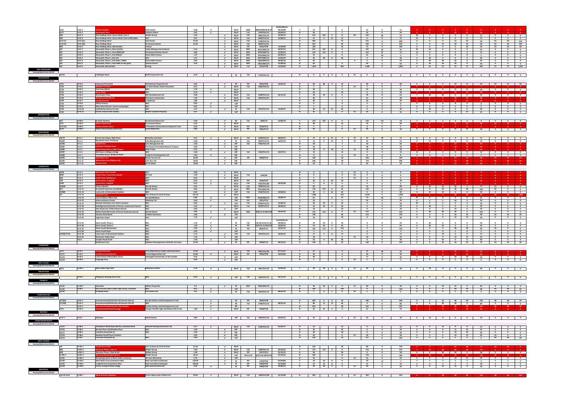|                                                       |                            | $H-EC2$                               |                                                                                           | <b>Colin Grieve</b><br>2.38                                                  |                            |                                          | WLLP                       | <b>ARM</b>         | 0680/ARM/04 & 07         | 02/06/2006 &<br>03/10/08 |                   | 13                                 | $\sim$                                           |               | 13                      | 11<br>$\overline{2}$                                               |                                                             |                                                     |                                                              |                                                                     |                          |                                           |                                                                                                     |
|-------------------------------------------------------|----------------------------|---------------------------------------|-------------------------------------------------------------------------------------------|------------------------------------------------------------------------------|----------------------------|------------------------------------------|----------------------------|--------------------|--------------------------|--------------------------|-------------------|------------------------------------|--------------------------------------------------|---------------|-------------------------|--------------------------------------------------------------------|-------------------------------------------------------------|-----------------------------------------------------|--------------------------------------------------------------|---------------------------------------------------------------------|--------------------------|-------------------------------------------|-----------------------------------------------------------------------------------------------------|
|                                                       | 6/17                       | H-EC <sub>3</sub>                     | mnark Fal                                                                                 | 3.03<br>Stephen Dalton                                                       | $\epsilon$                 |                                          | <b>WLLP</b>                | Full               | 0470/FUL/13              | 20/08/13                 | N                 | 50                                 | $\overline{7}$                                   |               | 43                      | $\sim$<br>50                                                       |                                                             |                                                     |                                                              |                                                                     |                          |                                           |                                                                                                     |
|                                                       | <b>RW</b>                  | H-EC4                                 | Raw Holdings West, (Seven Wells) Site A                                                   | 5.20<br><b>Walker Group</b>                                                  |                            | $\epsilon$                               | <b>WLLP</b>                | Full               | 0081/FUL/12              | 10/05/13                 | Y                 | 103<br>103                         | $\bullet$<br>17                                  | <b>AP</b>     | 103                     | 66<br>37                                                           | 30                                                          | $\overline{7}$                                      | $\overline{\phantom{a}}$<br>$\overline{\phantom{a}}$         | $\overline{\mathbf{0}}$                                             | 37                       | $\overline{\mathbf{0}}$                   | $\overline{\phantom{a}}$ $\overline{\phantom{a}}$ $\overline{\phantom{a}}$ $\overline{\phantom{a}}$ |
|                                                       | <b>RW</b>                  | H-EC4                                 | Raw Holdings West, (Seven Wells) Site B Affordable                                        | <b>WLC</b><br>0.41                                                           |                            | $\overline{ }$                           | <b>WLLP</b>                | Full               | 0483/FUL/15              | 21/08/15                 | N                 | 15<br>$\overline{\mathbf{3}}$      | 12<br>15                                         |               | $\Omega$                | $\Omega$<br>15                                                     | 15                                                          | $\overline{0}$                                      | $\overline{\mathbf{0}}$<br>$\Omega$                          | $\Omega$                                                            | 15                       | $\Omega$                                  | $\bullet$<br>$\Omega$                                                                               |
|                                                       | H-EC 5a                    | $H-EC 5(a)$                           | <b>Raw Holdings West</b>                                                                  | 21.00<br><b>Cala Homes</b>                                                   |                            | $\checkmark$                             | <b>WLLP</b>                | Full               | 0198/FUL/15              |                          | N                 | 300                                | 75                                               |               | 215                     | 300<br>$\Omega$                                                    | $\overline{0}$                                              | $\overline{0}$                                      | $\bullet$<br>12                                              | 24                                                                  | 36                       | 24<br>24                                  | 216                                                                                                 |
|                                                       | H-EC 5b<br><b>RW</b>       | $H-EC5(b)$<br><b>H-EC<sub>5</sub></b> | <b>Raw Holdings West</b><br><b>Raw Holdings West, (Remainder</b>                          | 21.00<br><b>Persimmon Homes</b><br>Various                                   |                            | $\sim$<br>$\overline{\phantom{a}}$       | <b>WLLP</b><br><b>WLLP</b> | Full<br>PiP        | 0609/FUL/15<br>0524/P/09 | 15/03/09                 | N<br>N            | 253<br>100                         | 63<br>25                                         |               | 190<br>75               | 253<br>$\Omega$<br>100<br>$\overline{\mathbf{0}}$                  | $\overline{0}$<br>$\overline{0}$<br>$\overline{\mathbf{0}}$ | $\overline{\mathbf{0}}$                             | 12<br>24<br>$\overline{\mathbf{0}}$<br>$\overline{0}$        | 24<br>24                                                            | 60<br>24                 | 24<br>24                                  | 24<br>145<br>28<br>24                                                                               |
|                                                       |                            | H-EC <sub>7</sub>                     | Almondell, Phase 1, Sites LKa/LKc                                                         | 4.10<br><b>Taylor Wimpey East Scotland</b>                                   |                            | $\checkmark$                             | <b>WLLP</b>                | MSC                | 0221/MSC/13              | 29/07/13                 |                   | 107<br>107                         | $\bullet$<br>$\overline{\mathbf{0}}$             |               | 107                     | 62<br>- 45                                                         | 35                                                          | 10                                                  | $\overline{\mathbf{0}}$<br>$\overline{0}$                    | $\overline{0}$                                                      | 45                       | $\bullet$                                 | $\overline{0}$<br>$\bullet$                                                                         |
|                                                       |                            | H-EC <sub>8</sub>                     | Almondell, Phase 1, Sites MWf/LKb                                                         | Persimmon/Charles Church<br>4.80                                             |                            |                                          | <b>WLLP</b>                | MSC                | 0226/MSC/13              | 12/09/13                 |                   | 110<br>110                         | $\bullet$<br>$\overline{0}$                      |               | 110                     | 97<br>13                                                           | 13<br>$\bullet$                                             |                                                     | $\overline{\mathbf{0}}$<br>$\bullet$                         | $\bullet$                                                           | 13                       | $\bullet$                                 | $\circ$<br>$\bullet$                                                                                |
|                                                       |                            | H-EC9                                 | Almondell, Phase 1, Site MWd/e                                                            | <b>Stuart Milne Homes</b><br>1.27                                            |                            | $\checkmark$                             | <b>WLLP</b>                | MSC                | 0376/MSC/14              | 02/09/14                 |                   | 31                                 | $\overline{0}$                                   |               | 31                      | 26<br>5                                                            | $\overline{\mathbf{0}}$<br>5                                |                                                     | $\overline{\mathbf{0}}$<br>$\bullet$                         | $\bullet$                                                           | - 5                      | $\bullet$                                 | $\circ$<br>$\bullet$                                                                                |
|                                                       |                            | H-EC <sub>6</sub>                     | Almondell, Phase 1, Site LKd                                                              | 1.27<br><b>WLC</b>                                                           |                            | $\checkmark$                             | <b>WLLP</b>                | MSC                | 0527/MSC/15              | 15/02/16                 | $\mathbb{N}$      | 36<br>36                           | $\circ$<br>36                                    |               | $\bullet$               | 36<br>$\overline{0}$                                               | $\bullet$                                                   | 36                                                  | $\overline{\mathbf{0}}$<br>$\bullet$                         | $\bullet$                                                           | 36                       | $\bullet$                                 | $\bullet$<br>$\bullet$                                                                              |
|                                                       |                            | H-EC9                                 | Almondell, Phase 1, Site MWa / MWb                                                        | <b>Stuart Milne Homes</b><br>2.83                                            |                            | $\checkmark$                             | <b>WLLP</b>                | MSC                | 0663/MSC/15              | 18/02/16                 |                   | 92                                 |                                                  | $^{\circ}$    | $\bullet$               | 92<br>$\circ$                                                      | $\bullet$                                                   | 30                                                  | 32<br>30                                                     | $\mathbf{0}$                                                        | 92                       | $\bullet$                                 | $\bullet$<br>$\bullet$                                                                              |
|                                                       |                            | H-EC <sub>9</sub>                     | Almondell, Phase 1, Sites MWc & LKe (part)                                                | <b>Charles Church</b><br>3.16                                                |                            | $\checkmark$<br>$\sim$                   | <b>WLLP</b>                | <b>MSC</b>         | 0815/MSC/15              | 31/08/16                 | $\mathbb{N}$      | 64                                 | $\overline{0}$                                   |               | 64                      | 64                                                                 | $\bullet$                                                   | 16                                                  | 24<br>24                                                     | $\bullet$                                                           | 64                       | $\bullet$                                 | $\bullet$<br>$\bullet$                                                                              |
| <b>EAST WHITBURN</b>                                  |                            | H-EC <sub>9</sub>                     | Almondell, (Remainder)                                                                    | <b>Stirling</b>                                                              |                            |                                          | <b>WLLP</b>                | Full               | 0524/P/09                | 15/03/09                 | N                 | 1,852                              | 463                                              |               | 1,399                   | 1,852<br>$\overline{0}$                                            | $\bullet$                                                   | 55                                                  | 55<br>72                                                     | 72                                                                  | 254                      | 72                                        | 72<br>1,454                                                                                         |
| <b>Housing Market Area WLC02</b>                      |                            |                                       |                                                                                           |                                                                              |                            |                                          |                            |                    |                          |                          |                   |                                    |                                                  |               |                         |                                                                    |                                                             |                                                     |                                                              |                                                                     |                          |                                           |                                                                                                     |
|                                                       | 25/16                      |                                       | 1 Bathgate Road                                                                           | <b>Swift Corporation Ltd</b><br>0.10                                         | $\sim$                     |                                          | <b>W</b>                   | Full               | 0759/FUL/14              |                          | N                 | 8 0 8 0                            |                                                  | $\mathsf{CS}$ | 8 <sub>1</sub>          | $\overline{0}$<br>8 <sup>2</sup>                                   | $\bullet$                                                   | $\bullet$                                           | 8 <sup>2</sup><br>$\bullet$                                  | $\overline{\mathbf{0}}$                                             | $\overline{\mathbf{8}}$  | $\bullet$                                 | $\bullet$<br>$\overline{\mathbf{0}}$                                                                |
| <b>FAULDHOUSE</b>                                     |                            |                                       |                                                                                           |                                                                              |                            |                                          |                            |                    |                          |                          |                   |                                    |                                                  |               |                         |                                                                    |                                                             |                                                     |                                                              |                                                                     |                          |                                           |                                                                                                     |
| <b>Housing Market Area WLC02</b>                      |                            |                                       |                                                                                           |                                                                              |                            |                                          |                            |                    |                          |                          |                   |                                    |                                                  |               |                         |                                                                    |                                                             |                                                     |                                                              |                                                                     |                          |                                           |                                                                                                     |
|                                                       | 7/41                       | H-FA <sub>1</sub>                     | <b>Eastwood Park (East)</b>                                                               | <b>Charlestown Properties Ltd</b><br>3.05                                    |                            | $\epsilon$                               | <b>BS</b>                  | PiP                | 0053/P/06                | 19/03/13                 | N                 | 68 68 0                            | 10                                               |               | 58                      | 68                                                                 | $\bullet$ $\bullet$                                         | $\overline{\mathbf{0}}$                             | $\overline{\mathbf{0}}$                                      | 10 10 10                                                            | 20                       | 10                                        | $10$ $28$                                                                                           |
|                                                       | 7/24                       | H-FA <sub>2</sub>                     | <b>leadow Cresce</b>                                                                      | c/o Colin Hardie, Hardie Associates<br>0.37                                  | $\checkmark$               | $\checkmark$                             | <b>WLLP</b>                | Full               | 0466/FUL/11              |                          | N<br>N            | $\overline{7}$                     | $\bullet$                                        | $\mathsf{cs}$ | $\overline{7}$          | $\overline{z}$<br>$\overline{0}$                                   |                                                             |                                                     |                                                              |                                                                     |                          |                                           |                                                                                                     |
|                                                       | 7/26<br>7/25               | H-FA <sub>3</sub><br>H-FA4            | Park View (West)<br>hotts Road                                                            | <b>WLC</b><br>1.70<br><b>WLC</b><br>3.16                                     | $\epsilon$                 |                                          | <b>WLLP</b><br><b>WLLP</b> |                    |                          |                          | <b>N</b>          | 30<br>30                           | $5 -$<br>30                                      |               | 25<br>$\overline{0}$    | 30<br>30<br>$\overline{0}$                                         |                                                             |                                                     |                                                              |                                                                     |                          | 0 0 0 15 15 30 0 0 0                      |                                                                                                     |
|                                                       | 7/30                       | H-FA <sub>5</sub>                     | <b>Breichwater Place</b>                                                                  | 3.28<br><b>RCK Developments Ltd</b>                                          |                            | $\epsilon$                               | <b>WLLP</b>                | Full               | 0638/FUL/16              | 02/12/16                 | Y                 | 78<br>78                           | $\bullet$<br>$\bullet$                           |               | 78                      | 17<br>61                                                           |                                                             |                                                     |                                                              |                                                                     |                          | 7   24   24   6   0   61   0   0   0      |                                                                                                     |
|                                                       | 7/38                       | H-FA <sub>6</sub>                     | heephousehill (Nort                                                                       | Nicholson Construction<br>1.49                                               |                            | $\checkmark$                             | <b>WLLP</b>                | Full               | 0929/FUL/07              |                          | N                 | 48                                 | $\overline{7}$                                   |               | 41                      | $\Omega$<br>48                                                     |                                                             |                                                     |                                                              |                                                                     |                          |                                           |                                                                                                     |
|                                                       | 7/39                       | H-FA <sub>7</sub>                     | anrigg Road (3)                                                                           | 1.80<br>A Anderson                                                           |                            | $\checkmark$                             | <b>WLLP</b>                |                    |                          |                          | N                 | 30                                 | 5                                                |               | 25                      | $\Omega$<br>30                                                     | - 0                                                         |                                                     |                                                              |                                                                     | 30                       |                                           |                                                                                                     |
|                                                       | 7/43                       | H-FA <sub>8</sub>                     | <b>Eldrick Avenue</b>                                                                     | 0.30<br><b>WLC</b>                                                           | $\checkmark$               |                                          | LDP                        |                    |                          |                          | N                 | 8                                  | 8                                                |               | $\overline{0}$          | $\Omega$<br>8                                                      | $\bullet$                                                   | $\bullet$                                           | $\bullet$<br>8 <sup>1</sup>                                  | $\bullet$                                                           | $_{\rm 8}$               | $\bullet$                                 | $\bullet$<br>$\bullet$                                                                              |
|                                                       | 7/44<br>7/40               | H-FA <sub>9</sub><br><b>H-FA10</b>    | Main Street (former cinema and garage)<br><b>Eastfield Recreation Ground</b>              | 0.01<br><b>WLC</b><br><b>WLC</b><br>1.27                                     | $\epsilon$                 |                                          | LDP<br><b>W</b>            | Full               | 0214/FUL/15              | 15/06/15                 | <b>N</b>          | 5<br>40<br>16                      | $\overline{\mathbf{0}}$<br>40<br>24              |               | 5<br>$\bullet$          | $\bullet$<br>- 5<br>40<br>$\circ$                                  | $\overline{0}$<br>$\overline{7}$                            | $\overline{\mathbf{0}}$<br>33                       | $\overline{\mathbf{0}}$<br>5<br>$\mathbf 0$<br>$\bullet$     | $\bullet$<br>$\bullet$                                              | - 5<br>40                | $\overline{0}$<br>$\bullet$               | $\overline{0}$<br>$\bullet$<br>$\bullet$<br>$\bullet$                                               |
|                                                       | 7/42                       | <b>H-FA11</b>                         | Former Victoria Park Colliery                                                             | <b>Walter Crawford Property</b><br>3.57                                      | ✔                          |                                          | <b>LDP</b>                 |                    |                          |                          |                   | 25                                 | $\bullet$                                        | <b>CS</b>     | 25                      | 25<br>$\circ$                                                      | $\bullet$                                                   | $\mathbf 0$                                         | $\mathbf{0}$<br>$\overline{\mathbf{0}}$                      | 25                                                                  | 25                       | $\bullet$                                 | $\bullet$<br>$\bullet$                                                                              |
| <b>KIRKNEWTON</b>                                     |                            |                                       |                                                                                           |                                                                              |                            |                                          |                            |                    |                          |                          |                   |                                    |                                                  |               |                         |                                                                    |                                                             |                                                     |                                                              |                                                                     |                          |                                           |                                                                                                     |
| <b>Housing Market Area WLC01</b>                      |                            |                                       |                                                                                           |                                                                              |                            |                                          |                            |                    |                          |                          |                   |                                    |                                                  |               |                         |                                                                    |                                                             |                                                     |                                                              |                                                                     |                          |                                           |                                                                                                     |
|                                                       | 9/2                        | H-KN 1                                | <b>Braekirk Gardens</b>                                                                   | 5.49<br><b>Drummond Homes Ltd</b>                                            |                            | $\overline{\phantom{a}}$                 | <b>BS</b>                  | Full               | 0292/79                  | 12/06/79                 | Y                 | 124<br>124 0                       | $\overline{\mathbf{0}}$                          |               | 124                     | 111<br>13                                                          |                                                             |                                                     | $1 \mid 2 \mid 2 \mid 2 \mid 2 \mid$                         |                                                                     | - 9                      | $\overline{2}$                            | $2 \t 0$                                                                                            |
|                                                       | 9/11                       | <b>H-KN2</b>                          | tion Road (East                                                                           | 3.53<br><b>Drummond Homes</b>                                                |                            | $\checkmark$                             | <b>WLLP</b>                |                    |                          |                          | N                 | 90                                 | 14                                               |               | 76                      | 90<br>$\circ$                                                      |                                                             |                                                     |                                                              | 24                                                                  | 48                       | -24<br>18                                 |                                                                                                     |
|                                                       | 9/12(2)<br>9/14            | H-KN3<br>H-KN 4                       | nps Junction (Eas<br><b>Station Road (South) (extension)</b>                              | Kirknewton Community Development Trust<br>0.50<br>Derek Mastertor<br>2.06    |                            | $\checkmark$                             | WLLP<br><b>WLLP</b>        | PiP<br>PiP         | 0578/P/15<br>0691/P/14   |                          | N                 | 5<br>30                            | 5<br>$\bullet$                                   | <b>CS</b>     | $\bullet$<br>30         | 5<br>$\circ$<br>30<br>$\overline{0}$                               | $\bullet$                                                   | $\bullet$                                           | $\bullet$<br>15                                              | 15                                                                  | 30                       | $\overline{0}$<br>$\overline{\mathbf{0}}$ | - 0<br>$\overline{\mathbf{0}}$<br>$\bullet$                                                         |
| <b>LINLITHGOW</b>                                     |                            |                                       |                                                                                           |                                                                              |                            |                                          |                            |                    |                          |                          |                   |                                    |                                                  |               |                         |                                                                    |                                                             |                                                     |                                                              |                                                                     |                          |                                           |                                                                                                     |
| <b>Housing Market Area WLC03</b>                      |                            |                                       |                                                                                           |                                                                              |                            |                                          |                            |                    |                          |                          |                   |                                    |                                                  |               |                         |                                                                    |                                                             |                                                     |                                                              |                                                                     |                          |                                           |                                                                                                     |
|                                                       | 10/79                      | $H-LL1$                               | Former Bus Depot, High Street                                                             | 0.31<br><b>McCarthy and Stone</b>                                            | $\epsilon$                 |                                          | <b>WLLP</b>                | Full               | 0249/FUL/11              | 08/05/13                 | Y                 | 41 0                               | 41<br>$\bullet$                                  | $\mathsf{cs}$ | 41                      | 11<br>30                                                           | 11                                                          | $\bullet$                                           | $\overline{\mathbf{0}}$<br>$\bullet$                         | $\overline{\mathbf{0}}$                                             |                          | $\mathbf{0}$                              | $\bullet$<br>$\bullet$                                                                              |
|                                                       | 10/83                      | H-LL 2                                | Westerlea Court. Friarsbrae                                                               | 0.30<br><b>Cala Management Ltd</b>                                           |                            |                                          | <b>W</b>                   | Full               | 0453/FUL/12              | 16/07/13                 | N                 | 12<br>$\sim$ 0                     | 12<br>$\bullet$                                  | <b>CS</b>     | 12                      | 12<br>$\overline{\mathbf{0}}$                                      | $\overline{\mathbf{0}}$                                     | 12                                                  | $\bullet$<br>$\bullet$                                       | $\overline{\mathbf{0}}$                                             | 12                       | $\overline{\mathbf{0}}$                   | $\bullet$<br>$\bullet$                                                                              |
|                                                       | 10/84                      | H-LL <sub>3</sub>                     | ghall East                                                                                | 3.20<br><b>Cala Management Ltd</b>                                           |                            | $\checkmark$                             | LDP                        | Full               | 0302/FUL/14              |                          | N                 | 50                                 | $\overline{7}$                                   |               | 43                      | 50<br>$\overline{\mathbf{0}}$                                      |                                                             |                                                     | -24<br>- 0                                                   | - 26                                                                | 50                       |                                           |                                                                                                     |
|                                                       | 10/85<br>10/86             | H-LL 4<br>H-LL 5                      | ad East of Ma<br>irk Road (land at BSW Ti                                                 | The Church of Scotland General Trustees<br>2.00<br>0.70<br><b>BSW Timber</b> | $\epsilon$                 |                                          | LDP<br><b>LDP</b>          |                    |                          |                          | N<br>$\mathbb{N}$ | 45<br>18<br>$\bullet$              | $\overline{7}$<br>18<br>$\bullet$                | <b>CS</b>     | 38<br>18                | 45<br>$\circ$<br>18<br>$\circ$                                     |                                                             |                                                     |                                                              |                                                                     |                          |                                           |                                                                                                     |
|                                                       | 10/87                      | H-LL 6                                | Mill Road, Linlithgow Bridge                                                              | 1.60<br><b>WLC</b>                                                           |                            |                                          | <b>LDP</b>                 | Full               | 0244/FUL/15              | 02/07/15                 |                   | 15                                 | 15                                               |               | $\overline{\mathbf{0}}$ | 15<br>$\mathbf{0}$                                                 | 15                                                          | $\bullet$                                           | $\overline{\mathbf{0}}$<br>$\bullet$                         | $\overline{\mathbf{0}}$                                             | 15                       | $\bullet$                                 | $\bullet$<br>$\bullet$                                                                              |
|                                                       | 10/88                      | H-LL 7                                | Clarendon House, 30 Manse Road                                                            | 2.60<br><b>Craigs Eco Developments Ltd</b>                                   |                            |                                          | <b>LDP</b>                 |                    |                          |                          | N                 | 8                                  | $\mathbf{0}$                                     | <b>CS</b>     | 8                       | 8<br>$\circ$                                                       |                                                             | $\circ$                                             |                                                              |                                                                     |                          |                                           | $\mathbf{1}$<br>$\overline{\mathbf{3}}$                                                             |
|                                                       | 10/89                      | <b>H-LL 10</b>                        |                                                                                           | 26.00<br>Manor Forrest Ltd                                                   |                            | $\overline{\phantom{a}}$                 | <b>LDP</b>                 | PiP                | 0698/P/13                |                          | $\mathsf{N}$      | 120                                | 18                                               |               | 102                     | 120<br>$\mathbf{0}$                                                |                                                             |                                                     |                                                              | 24                                                                  |                          | 24                                        | 24<br>24                                                                                            |
|                                                       | 10/90                      | <b>H-LL 11</b>                        | oxholm Farm/Pilgrims Hill                                                                 | John Kerr Ltd<br>20.00                                                       |                            | $\checkmark$                             | <b>LDP</b>                 |                    |                          |                          | N                 | 200                                | 30                                               |               | 170                     | 200<br>$\overline{0}$                                              |                                                             |                                                     |                                                              |                                                                     |                          |                                           | 32                                                                                                  |
|                                                       | 10/91                      | <b>H-LL 12</b>                        | ston Farm                                                                                 | Mr W Aitken<br>10.00                                                         |                            | $\checkmark$                             | <b>LDP</b>                 |                    |                          |                          | N                 | 50                                 | 8                                                |               | 42                      | 50<br>$\overline{0}$                                               |                                                             |                                                     |                                                              |                                                                     |                          |                                           |                                                                                                     |
| <b>LIVINGSTON</b>                                     |                            |                                       |                                                                                           |                                                                              |                            |                                          |                            |                    |                          |                          |                   |                                    |                                                  |               |                         |                                                                    |                                                             |                                                     |                                                              |                                                                     |                          |                                           |                                                                                                     |
| <b>Housing Market Area WLC01</b>                      | EE5B                       | H-LV <sub>1</sub>                     | <b>Ityne Place (South</b>                                                                 | <b>WLC</b><br>0.68                                                           |                            | $\checkmark$                             | <b>WLLP</b>                |                    |                          |                          | N                 | 8                                  | $\mathbf 0$                                      | <b>CS</b>     | 8                       | $\circ$<br>- 8                                                     |                                                             |                                                     |                                                              |                                                                     |                          |                                           |                                                                                                     |
|                                                       | MS8                        | H-LV <sub>3</sub>                     | <b>bert Drive, Murieston (Sc</b>                                                          | Mr Lind<br>1.20                                                              |                            | $\epsilon$                               | <b>WLLP</b>                | Full               | 1269/06                  |                          | $\mathbb{N}$      | 9                                  | $\overline{\mathbf{0}}$                          | $\mathsf{cs}$ | 9                       | 9                                                                  |                                                             |                                                     |                                                              |                                                                     |                          |                                           |                                                                                                     |
|                                                       | <b>B16</b>                 | H-LV4                                 | Ider Road, Bellsquari                                                                     | <b>WLC</b><br>0.50                                                           |                            | $\mathcal{L}$                            | <b>WLLP</b>                |                    |                          |                          | N                 | $5 -$                              | $\bullet$                                        | $\mathsf{cs}$ | 5 <sub>1</sub>          | $\circ$<br>$5^{\circ}$                                             |                                                             |                                                     |                                                              |                                                                     |                          |                                           |                                                                                                     |
|                                                       | C35                        | H-LV 5                                | rick Drive, Craigshill                                                                    | <b>WLC</b><br>0.23                                                           | ✔                          |                                          | <b>WLLP</b>                | PiP                | 0234/P/07                |                          | N                 | 10 0                               | 10<br>10                                         |               | $\overline{\mathbf{0}}$ | $\Omega$<br>10                                                     |                                                             |                                                     |                                                              |                                                                     |                          |                                           |                                                                                                     |
|                                                       | C003                       | H-LV 6                                | th Drive, Craigshil                                                                       | <b>WLC</b><br>0.15                                                           | $\epsilon$                 |                                          | <b>WLLP</b>                | Full               | 0532/FUL/08              | 29/07/09                 | N                 | 6 <sub>1</sub><br>$\bullet$        | 6 <sup>1</sup><br>6                              |               | $\bullet$               | $\Omega$<br>6                                                      |                                                             |                                                     |                                                              |                                                                     |                          |                                           |                                                                                                     |
|                                                       | <b>KN10B</b><br><b>B17</b> | H-LV 9                                | Kirkton (North)<br>Brucefield Industrial, (Limefields)                                    | 3.22<br><b>Barratt Home</b><br>9.66<br><b>Barratt Homes</b>                  |                            | $\checkmark$                             | <b>WLLP</b>                | Full<br><b>MSC</b> | 0049/FUL/16              |                          | N<br>N            | 89<br>170                          | 13<br>26                                         |               | 76<br>144               | $\Omega$<br>89                                                     | $\bullet$<br>$\bullet$                                      | 10<br>$\bullet$                                     | 33<br>33<br>24<br>48                                         | $\mathbf{1}$<br>48                                                  | 77                       | 12<br>50                                  | $\bullet$<br>$\overline{\phantom{a}}$ 0<br>$\bullet$                                                |
|                                                       | AV008                      | <b>H-LV 11</b><br><b>H-LV 12</b>      | Land north of Almondvale Stadiun                                                          | 0.62<br><b>WLC</b>                                                           |                            | $\checkmark$<br>$\checkmark$             | <b>WLLP</b><br><b>LDP</b>  | Full               | 0725/MSC/16              | 23/06/16                 | N                 | 170<br>20<br>$\overline{4}$        | $\overline{0}$<br><b>16</b><br>20                |               | $\bullet$               | 170<br>$\Omega$<br>$\Omega$<br>20                                  | $\bullet$                                                   | 10                                                  | 10<br>$\overline{0}$                                         | $\bullet$                                                           | 120<br>20                | $\bullet$<br>$\bullet$                    | $\overline{\mathbf{0}}$<br>$\overline{\mathbf{0}}$                                                  |
|                                                       |                            | <b>H-LV 13</b>                        | eside Far <del>n</del>                                                                    | 121.20<br>Alan Graham/A and R Graham                                         |                            | $\overline{\phantom{a}}$                 | <b>WLLP</b>                |                    | 0544/FUL/15              |                          | <b>N</b>          | 1,900                              | 475                                              |               | 1.425                   | 1,900<br>$\overline{\mathbf{0}}$                                   |                                                             |                                                     |                                                              |                                                                     |                          | 48                                        | 1.708<br>48                                                                                         |
|                                                       |                            | <b>H-LV 14</b>                        | Land at Eliburn Office Park                                                               | 6.80<br>Barratt/Gladman                                                      | $\checkmark$               |                                          | <b>LDP</b>                 | MSC                | 0158/MSC/14              | 23/06/14                 |                   | 87                                 | 13<br>$\overline{\mathbf{0}}$                    |               | 74                      | 56<br>31                                                           | 31 7                                                        | $\bullet$                                           | $\bullet$<br>$\bullet$                                       | $\overline{\mathbf{0}}$                                             | 31                       | $\bullet$                                 | $\bullet$ $\bullet$<br>$\overline{\mathbf{0}}$                                                      |
|                                                       |                            | <b>H-LV 15</b>                        | <b>Kirkton Business Centre</b>                                                            | 0.40<br><b>Elderhevs Ltd</b>                                                 | $\epsilon$                 |                                          | <b>LDP</b>                 | PiP                | 0255/P/13                |                          |                   | 29                                 | $\overline{4}$                                   |               | 25                      | 29<br>$\Omega$                                                     | $\overline{0}$                                              | $\bullet$                                           | 5<br>24                                                      | $\bullet$                                                           | 29                       | $\overline{0}$                            | $\bullet$<br>$\bullet$                                                                              |
|                                                       |                            | <b>H-LV 17</b>                        | Almond Link Road, Civic Centre Junction                                                   | <b>WLC</b><br>0.62                                                           |                            | $\checkmark$                             | <b>LDP</b>                 | Full               | 0196/FUL/15              | 13/06/15                 |                   | 20<br>20                           | $\bullet$<br>20                                  |               | $\bullet$               | 20<br>$\overline{0}$                                               | 20                                                          | $\bullet$                                           | $\bullet$<br>$\bullet$                                       | $\bullet$                                                           | 20                       | $\overline{0}$                            | $\bullet$<br>$\bullet$                                                                              |
|                                                       |                            | <b>H-LV 18</b>                        | Dedridge East Road (site of former Lammermuir House)                                      | <b>WLC</b><br>2.40                                                           | $\checkmark$               |                                          | <b>WLLP</b>                | Full               | 0239/FUL/15              | 18/06/15                 | N                 | 44<br>44                           | $\circ$<br>44                                    |               | $\bullet$               | 44<br>$\overline{0}$                                               | $\bullet$                                                   | 44                                                  | $\bullet$<br>$\bullet$                                       | $\bullet$                                                           | 44                       | $\bullet$                                 | $\bullet$<br>$\overline{\mathbf{0}}$                                                                |
|                                                       |                            | <b>H-LV 21</b><br><b>H-LV 22</b>      | Glen Road (rear of New Deans House)<br>Kirkton Road North (site of former Buchanan House) | 0.30<br><b>WLC</b><br><b>Barratt Homes</b><br>3.90                           | $\mathcal{L}$              |                                          | LDP<br><b>WLLP</b>         | <b>MSC</b>         | /MSC/15 & 0927/MS        | 26/02/16                 | N<br>Y            | 10<br>112<br>112 0                 | 10<br>$\overline{\mathbf{0}}$                    | $\mathsf{cs}$ | $\bullet$<br>112        | 10<br>$\overline{0}$<br>112<br>$\mathbf 0$                         | $\bullet$<br>$\overline{\mathbf{2}}$                        | $\overline{\mathbf{0}}$<br>36                       | $\mathbf{0}$<br>10<br>36<br>36                               | $\bullet$<br>$\overline{\mathbf{2}}$                                | 10<br>112                | $\bullet$<br>$\bullet$                    | $\bullet$<br>$\bullet$<br>$\overline{\mathbf{0}}$<br>$\bullet$                                      |
|                                                       |                            | <b>H-LV 23</b>                        | <b>Houston Road North</b>                                                                 | <b>Scottish Enterprise</b><br>5.80                                           |                            | $\sim$                                   | <b>LDP</b>                 |                    |                          |                          | N                 | 130                                | 20                                               |               | 110                     | 130<br>$\overline{0}$                                              | $\overline{0}$<br>$\bullet$                                 |                                                     | $\bullet$<br>24                                              | 24                                                                  | 48                       | 24                                        | 24<br>34                                                                                            |
|                                                       |                            | <b>H-LV 24</b>                        | <b>Eagle Brae Depot</b>                                                                   | 1.12<br><b>WLC</b>                                                           | $\sim$                     |                                          | <b>LDP</b>                 |                    |                          |                          | N                 | 30                                 | 30                                               |               | $\bullet$               | 30<br>$\overline{0}$                                               | $\overline{\mathbf{0}}$<br>$\bullet$                        |                                                     | $\bullet$<br>15                                              | 15                                                                  | 30                       | $\overline{\mathbf{0}}$                   | $\bullet$<br>$\bullet$                                                                              |
|                                                       |                            |                                       |                                                                                           |                                                                              |                            |                                          |                            |                    |                          | 15/10/2015 &             |                   |                                    |                                                  |               |                         |                                                                    |                                                             |                                                     |                                                              |                                                                     |                          |                                           |                                                                                                     |
|                                                       |                            | <b>H-LV 25</b>                        | Deans South, Phase 1                                                                      | 1.70                                                                         |                            |                                          |                            | Full               | & 0371/FUL/15 &          | 09/08/16                 |                   | 54<br>54                           | 54                                               |               | $\mathbf{0}$            | 54                                                                 |                                                             | 54                                                  | $\mathbf{0}$                                                 |                                                                     | 54                       |                                           |                                                                                                     |
|                                                       |                            | <b>H-LV 26</b>                        | Deans South, Phase 2                                                                      | 1.20<br><b>WLC</b>                                                           | $\epsilon$<br>✔            |                                          | W                          | PiP                | 53/P/16 & 0076/P/        | 10/03/16                 |                   | 63<br>63                           | 63<br>$\bullet$                                  |               | $\bullet$               | 63<br>$\circ$                                                      | $\bullet$                                                   | 20<br>$\mathbf{0}$                                  | 43<br>$\bullet$<br>$\mathbf 0$                               | $\bullet$                                                           | 63                       | $\bullet$                                 | $\bullet$<br>$\bullet$                                                                              |
|                                                       |                            | <b>H-LV 27</b><br><b>H-LV 28</b>      | <b>Deans South (Remainder)</b><br><b>Deans South Road</b>                                 | <b>WLC</b><br>5.00<br>0.30<br><b>WLC</b>                                     |                            |                                          | W<br><b>LDP</b>            | PiP                | 0834/P/14                | 23/01/15                 |                   | 116<br>116<br>- 5                  | $\bullet$<br>116                                 |               | $\bullet$               | 116<br>$\circ$<br>- 5<br>$\mathbf{0}$                              | $\bullet$                                                   | $\mathbf 0$                                         | 48                                                           | 48                                                                  | 96<br>- 5                | 20                                        | $\bullet$<br>$\bullet$<br>$\overline{\mathbf{0}}$<br>$\mathbf{0}$                                   |
|                                                       | <b>AV008/TCU6</b>          | <b>H-LV 30</b>                        | Land south of Almondvale Stadiun                                                          | <b>WLC</b><br>1.13                                                           |                            | $\checkmark$                             | <b>LDP</b>                 | Full               | 0553/FUL/15              | 20/06/16                 | $\mathbf N$       | 17<br>9                            | 17<br>8                                          |               | $\bullet$               | 17                                                                 | $\overline{7}$<br>$\bullet$                                 |                                                     | 10<br>$\bullet$                                              | $\bullet$                                                           | 17                       | $\bullet$                                 | $\mathbf{0}$<br>$\bullet$                                                                           |
|                                                       |                            | <b>H-LV 31</b>                        | <b>Murieston Valley Road</b>                                                              | <b>WLC</b><br>1.70                                                           |                            | $\checkmark$                             | <b>LDP</b>                 |                    |                          |                          | N                 | 24                                 | $\mathbf 0$                                      | <b>CS</b>     | 24                      | 24<br>$\mathbf{0}$                                                 | $\bullet$                                                   | $\mathbf 0$                                         | 12<br>$\overline{\mathbf{0}}$                                | 12                                                                  | 24                       | $\bullet$                                 | $\bullet$<br>$\mathbf 0$                                                                            |
|                                                       |                            |                                       |                                                                                           |                                                                              |                            |                                          |                            |                    |                          |                          |                   |                                    |                                                  |               |                         |                                                                    |                                                             |                                                     |                                                              |                                                                     |                          |                                           |                                                                                                     |
|                                                       |                            |                                       | <b>Brotherton Farm</b>                                                                    | 12.40<br>Gladman Developments Ltd & Mrs Ann Dow                              |                            | $\overline{ }$                           | <b>W</b>                   | PiP                | 0648/P/14                | 28/10/16                 |                   | 150                                | 22                                               |               | 128                     | 150<br>$\overline{\mathbf{0}}$                                     | $\bullet$<br>$\overline{\mathbf{0}}$                        |                                                     | 24<br>24                                                     | 24                                                                  | 72                       | 24<br>24                                  | 30                                                                                                  |
| <b>LONGRIDGE</b>                                      |                            |                                       |                                                                                           |                                                                              |                            |                                          |                            |                    |                          |                          |                   |                                    |                                                  |               |                         |                                                                    |                                                             |                                                     |                                                              |                                                                     |                          |                                           |                                                                                                     |
| <b>Housing Market Area WLC02</b>                      | 11/1                       | <b>H-LR1</b>                          | <b>urling Pond Lane</b>                                                                   | Price Waterhouse Cooper (Administrators)<br>27.60                            |                            | $\sim$                                   | <b>WLLP</b>                | Full               | 0815/FUL/06              | 07/11/07                 | Y                 | 55                                 | $\overline{\mathbf{0}}$                          |               | 55                      | 30<br>25                                                           |                                                             |                                                     |                                                              |                                                                     |                          |                                           |                                                                                                     |
|                                                       | 11/11                      | <b>H-LR2</b>                          | thouse Road (No                                                                           | <b>Ecosse Regeneration Ltd</b><br>16.80                                      | $\checkmark$               |                                          | <b>WLLP</b>                | PiP                | 0493/P/02                | 10/05/06                 | N                 | 30                                 | $\overline{4}$                                   |               | 26                      | $\overline{0}$<br>30                                               |                                                             |                                                     |                                                              |                                                                     |                          |                                           |                                                                                                     |
|                                                       | 11/13                      | H-LR <sub>3</sub>                     | Land at Back O Moss/Main Street                                                           | 2.50<br>Gleneagles Partnership / D & D Lambie                                |                            | $\sim$                                   | <b>LDP</b>                 |                    |                          |                          | N                 | $\overline{20}$                    | $\overline{\mathbf{3}}$                          |               | 17                      | $\overline{0}$<br>20                                               |                                                             |                                                     |                                                              |                                                                     |                          | 0 0 0 0 10 10 20 0 0 0                    |                                                                                                     |
|                                                       | 11/14                      | $H-LR4$                               | <b>Longridge Park</b>                                                                     | 0.30                                                                         |                            | $\overline{\phantom{a}}$                 | <b>LDP</b>                 |                    |                          |                          | $\overline{N}$    | $-5$                               | $\overline{\phantom{a}}$                         | <b>CS</b>     | $-5$                    | $\overline{\mathbf{0}}$<br>5                                       | $\overline{\phantom{a}}$                                    | $\overline{\phantom{0}}$                            | $\overline{\phantom{a}}$<br>$\overline{\phantom{0}}$         | $\overline{\phantom{a}}$                                            | $\overline{\phantom{0}}$ | $\overline{\phantom{a}}$                  | $\overline{\bullet}$ $\overline{\bullet}$ $\overline{\bullet}$                                      |
| <b>MID CALDER</b><br><b>Housing Market Area WLC01</b> |                            |                                       |                                                                                           |                                                                              |                            |                                          |                            |                    |                          |                          |                   |                                    |                                                  |               |                         |                                                                    |                                                             |                                                     |                                                              |                                                                     |                          |                                           |                                                                                                     |
|                                                       | 99/4                       | H-MC <sub>1</sub>                     | <b>New Calder Paper Mill</b>                                                              | <b>Robertson Homes</b><br>2.10                                               | $\sim$                     |                                          | <b>WLLP</b>                | Full               | 0811/FUL/14              | 13/06/16                 | Y                 | 49 49 0 0 CS 49                    |                                                  |               |                         | $\bullet$                                                          |                                                             |                                                     | 8 24 17 0 0                                                  |                                                                     |                          | $\bullet$ $\bullet$                       |                                                                                                     |
| <b>PHILPSTOUN</b>                                     |                            |                                       |                                                                                           |                                                                              |                            |                                          |                            |                    |                          |                          |                   |                                    |                                                  |               |                         | 49                                                                 |                                                             |                                                     |                                                              |                                                                     | 49                       |                                           |                                                                                                     |
| <b>Housing Market Area WLC03</b>                      |                            |                                       |                                                                                           |                                                                              |                            |                                          |                            |                    |                          |                          |                   |                                    |                                                  |               |                         |                                                                    |                                                             |                                                     |                                                              |                                                                     |                          |                                           |                                                                                                     |
|                                                       |                            | $H-PH1$                               | <b>Philpstoun Bowling Green Site</b>                                                      | <b>WLC</b><br>0.10                                                           | $\mathcal{L}$              |                                          | <b>LDP</b>                 | Full               | 0443/FUL/15              | 16/11/15                 |                   | $5 \mid 1$                         | $\sim$ 4<br>5 <sub>1</sub>                       |               | $\bullet$               | $\overline{\mathbf{0}}$<br>$\overline{\phantom{0}}$                | 5                                                           | $\bullet$                                           | $\bullet$<br>$\bullet$                                       | $\bullet$                                                           | 5 <sub>5</sub>           | $\bullet$                                 | $\bullet$<br>$\bullet$                                                                              |
| <b>POLBETH</b>                                        |                            |                                       |                                                                                           |                                                                              |                            |                                          |                            |                    |                          |                          |                   |                                    |                                                  |               |                         |                                                                    |                                                             |                                                     |                                                              |                                                                     |                          |                                           |                                                                                                     |
| <b>Housing Market Area WLC01</b>                      |                            |                                       |                                                                                           |                                                                              |                            |                                          |                            |                    |                          |                          |                   |                                    |                                                  |               |                         |                                                                    |                                                             |                                                     |                                                              |                                                                     |                          |                                           |                                                                                                     |
|                                                       | 15/41                      | H-LW 1                                | Gavieside                                                                                 | <b>Gillean Properties</b><br>3.4                                             |                            | $\sim$                                   | <b>W</b>                   | <b>MSC</b>         | 0365/MSC/15              |                          | N                 | $46$ $46$ $0$                      | $\bullet$                                        | $\mathsf{CS}$ | 46                      | $\bullet$<br>-46                                                   | $\bullet$<br>$\overline{\mathbf{0}}$                        |                                                     | 23<br>23                                                     | $\bullet$                                                           | 46                       | $\bullet$                                 | $\begin{array}{ccc} & & & & 0 \\ \hline \end{array}$                                                |
|                                                       | 15/42<br>15/43             | $H-PB1$                               | Site of former West Calder High School, Limefield<br>8 Polbeth Road                       | 10.3<br><b>WLC</b><br><b>Five Sisters Zoo</b><br>0.8                         | $\checkmark$<br>$\epsilon$ |                                          | <b>LDP</b><br><b>W</b>     | Full               | 0919/FUL/15              | 04/05/16                 | $\mathbb N$       | 120<br>5 <sub>1</sub><br>$\bullet$ | 120<br>$\overline{\mathbf{0}}$<br>5 <sub>1</sub> | CS            | $\bullet$               | 120<br>$\overline{\mathbf{0}}$<br>$\overline{0}$<br>5 <sup>5</sup> | $\overline{0}$                                              | $\overline{\mathbf{0}}$<br>$\overline{\phantom{a}}$ | 24<br>$\bullet$<br>$\overline{\mathbf{0}}$<br>5 <sub>5</sub> | 24<br>$\bullet$                                                     | 48<br>5 <sup>7</sup>     | 24<br>$\overline{\phantom{a}}$            | 24<br>24<br>$\overline{\phantom{a}}$<br>$\overline{\phantom{a}}$                                    |
| <b>PUMPHERSTON</b>                                    |                            |                                       |                                                                                           |                                                                              |                            |                                          |                            |                    |                          |                          |                   |                                    |                                                  |               |                         |                                                                    |                                                             |                                                     |                                                              |                                                                     |                          |                                           |                                                                                                     |
| <b>Housing Market Area WLC01</b>                      |                            |                                       |                                                                                           |                                                                              |                            |                                          |                            |                    |                          |                          |                   |                                    |                                                  |               |                         |                                                                    |                                                             |                                                     |                                                              |                                                                     |                          |                                           |                                                                                                     |
|                                                       | 27/3(A)                    | H-PU 1                                | Drumshoreland/Kirkforthar Brickworks (Site A)                                             | Dundas Estates and Development Co Ltd                                        | $\sim$ $\sim$              |                                          | BS                         | <b>PiP</b>         | 0050/P/08                |                          | N                 | 260 0 0 20                         |                                                  |               | 240                     | 260<br>$\overline{\mathbf{0}}$                                     | $\circ$ $\circ$ $\circ$                                     |                                                     | 24                                                           | 48 48                                                               | 120                      | 48                                        | $-48$ $44$                                                                                          |
|                                                       | 27/3(B)                    | H-PU <sub>1</sub>                     | Drumshoreland/Kirkforthar Brickworks (Site B)                                             | <b>WLC</b>                                                                   | $\mathcal{L}$              |                                          | <b>BS</b>                  | Full               | 0708/FUL/15              | 08/01/16                 | Y                 | 86<br>12 74                        | 86                                               |               | $\bullet$               | 86<br>$\Omega$                                                     | $\overline{\mathbf{0}}$                                     | 6 <sup>1</sup>                                      | 40 40                                                        | 40 0                                                                | 86                       | $\overline{\mathbf{0}}$                   | $\overline{\mathbf{0}}$ $\overline{\mathbf{0}}$ $\overline{\mathbf{0}}$                             |
|                                                       |                            | H-PU <sub>1</sub>                     | shoreland/Kirkforthar (Remainder)                                                         | <b>Dundas Estates and Development Co Ltd</b>                                 | $\mathcal{L}$              |                                          | <b>BS</b>                  |                    |                          |                          | $\mathbb N$       | 254                                | 38                                               |               | 216                     | 254<br>$\overline{\mathbf{0}}$                                     |                                                             |                                                     |                                                              | - 48                                                                | 120                      | 48                                        | 48<br>$-38$                                                                                         |
|                                                       | 27/5                       | H-PU <sub>2</sub>                     | shoreland Road Frontage                                                                   | Young's Paraffin Light and Mineral Oil Co Ltd<br>1.40                        | $\mathcal{L}$              |                                          | <b>WLLP</b>                | PiP                | 0038/P/05                |                          |                   | 25<br>25                           | $\bullet$<br>$\overline{a}$                      |               | 21                      | 25<br>$\overline{0}$                                               |                                                             |                                                     |                                                              |                                                                     |                          |                                           | $\overline{a}$                                                                                      |
| <b>SEAFIELD</b><br><b>Housing Market Area WLC02</b>   |                            |                                       |                                                                                           |                                                                              |                            |                                          |                            |                    |                          |                          |                   |                                    |                                                  |               |                         |                                                                    |                                                             |                                                     |                                                              |                                                                     |                          |                                           |                                                                                                     |
|                                                       | H-SF $1$                   | $H-SF1$                               | <b>Old Rows</b>                                                                           | <b>Atholl Homes</b><br>0.60                                                  | $\overline{\phantom{a}}$   |                                          | LDP                        | <b>Full</b>        | 0460/FUL/10              | 26/05/15                 | $\overline{N}$    | 10                                 | $\overline{\phantom{0}}$                         |               | $CS$ 10                 | $\overline{\mathbf{0}}$<br>10                                      | $\overline{\mathbf{0}}$                                     | 10                                                  | $\overline{\phantom{a}}$                                     | $\begin{array}{c c c c c} \hline \circ & \circ & \circ \end{array}$ | 10                       | $\bullet$                                 | $\overline{\phantom{a}}$ 0                                                                          |
| <b>STONEYBURN/BENTS</b>                               |                            |                                       |                                                                                           |                                                                              |                            |                                          |                            |                    |                          |                          |                   |                                    |                                                  |               |                         |                                                                    |                                                             |                                                     |                                                              |                                                                     |                          |                                           |                                                                                                     |
| <b>Housing Market Area WLC02</b>                      |                            |                                       |                                                                                           |                                                                              |                            |                                          |                            |                    |                          |                          |                   |                                    |                                                  |               |                         |                                                                    |                                                             |                                                     |                                                              |                                                                     |                          |                                           |                                                                                                     |
|                                                       | 13/15                      | H-SB <sub>3</sub>                     | Stoneyburn Workshops (North), Foulshiels Road                                             | 0.17<br><b>Almond Housing Association Ltd</b>                                | $\sim$                     |                                          | <b>WLLP</b>                | Full               | 0109/FUL/16              | 01/02/17                 | N                 | 12                                 | 12                                               |               | $\bullet$               | 12<br>$\overline{0}$                                               | $\bullet$<br>$\overline{\mathbf{0}}$                        |                                                     | 12<br>$\overline{\mathbf{0}}$                                | $\overline{\mathbf{0}}$                                             | 12                       | $\bullet$                                 | $\bullet$<br>$\overline{\mathbf{0}}$                                                                |
|                                                       | 13/16                      | H-SB <sub>4</sub>                     | <b>Burnlea Place and Meadow Place</b>                                                     | 1.00<br><b>WLC</b>                                                           |                            | $\overline{\phantom{a}}$                 | LDP                        |                    |                          |                          | N                 | 35                                 | 35                                               |               | $\bullet$               | $\overline{0}$<br>35                                               | $\bullet$                                                   | $\bullet$                                           | $\bullet$<br>11                                              | 24                                                                  | 35                       | $\overline{\mathbf{0}}$                   | $\overline{\mathbf{0}}$<br>$\bullet$                                                                |
|                                                       | 13/17                      | H-SB 5                                | <b>Foulshiels Road (Site A)</b>                                                           | 1.00<br><b>WLC</b>                                                           |                            | $\sim$                                   | LDP                        |                    |                          |                          | N                 | 20                                 | 20                                               |               | $\bullet$               | $\overline{\mathbf{0}}$<br>20                                      | $\bullet$                                                   | $\bullet$                                           | 10<br>$\bullet$                                              | 10                                                                  | 20                       | $\bullet$                                 | $\overline{\mathbf{0}}$<br>$\bullet$                                                                |
|                                                       | 13/18<br>13/19             | H-SB <sub>6</sub><br>$H-SB7$          | <b>Meadow Road/Church Gardens</b><br><b>Foulshiels Road (Site B)</b>                      | 2.00<br>4.40<br><b>WIC</b>                                                   |                            | $\sim$<br>$\checkmark$                   | LDP<br><b>LDP</b>          |                    |                          |                          | N                 | 30<br>150                          | $\bullet$<br>$^{23}$                             | <b>CS</b>     | 30<br>127               | 30<br>$\overline{\mathbf{0}}$<br>150<br>$\overline{0}$             | $\overline{0}$<br>$\bullet$                                 | $\bullet$<br>$\bullet$                              | $\bullet$<br>10<br>$\overline{\phantom{a}}$<br>$\bullet$     | 10<br>$\bullet$                                                     | 20<br>$\bullet$          | 10<br>30                                  | $\bullet$<br>$\overline{\mathbf{0}}$<br>30<br>90                                                    |
| <b>WEST CALDER</b>                                    |                            |                                       |                                                                                           |                                                                              |                            |                                          |                            |                    |                          |                          |                   |                                    |                                                  |               |                         |                                                                    |                                                             |                                                     |                                                              |                                                                     |                          |                                           |                                                                                                     |
| <b>Housing Market Area WLC01</b>                      |                            |                                       |                                                                                           |                                                                              |                            |                                          |                            |                    |                          |                          |                   |                                    |                                                  |               |                         |                                                                    |                                                             |                                                     |                                                              |                                                                     |                          |                                           |                                                                                                     |
|                                                       | <b>ICB</b>                 | H-WC 1                                | Cleugh Brae (CDA)                                                                         | Alan Graham/A and R Graham<br>12.10                                          |                            | $\sim$ $\sim$                            | <b>WLLP</b>                |                    |                          |                          | N                 | 120                                | 30                                               |               | 90                      | 120<br>$\overline{\mathbf{0}}$                                     |                                                             |                                                     |                                                              |                                                                     |                          |                                           |                                                                                                     |
|                                                       | <b>MO</b>                  | $H-WC.2$                              | lossend, Phase 1 (Site A)                                                                 | 7.00<br><b>Walker Group</b>                                                  |                            | $\sim$                                   | WLLP                       | Full               | 0349/FUL/11              | 22/10/14                 | Y                 | $173$   173   0                    | $\bullet$                                        |               | 173                     | 173<br>$\overline{0}$                                              |                                                             | 24                                                  | 48<br>-48                                                    | 48                                                                  | 173                      | $\overline{0}$                            | $\overline{0}$                                                                                      |
|                                                       | <b>IMO</b>                 | H-WC <sub>3</sub>                     | Mossend, Phase 1 (Site B) AH                                                              | 1.90<br><b>Walker Group</b>                                                  |                            | $\sim$                                   | WILP                       | PiP                | 0337/P/13                | 22/10/14                 | $\mathbb N$       | 58                                 | 58                                               |               | $\overline{0}$          | 58<br>$\overline{0}$                                               |                                                             |                                                     |                                                              |                                                                     |                          | 0 0 29 29 0 58 0 0 0                      |                                                                                                     |
|                                                       | H-WC5<br>15/45             | H-WC4<br>H-WC 5                       | lossend (Remainder) (Site Y)<br><b>Burngrange (west of West Calder cemetery)</b>          | 18.10<br><b>Walker Group</b><br>2.70<br><b>Mr Liam McCartney</b>             |                            | $\overline{\phantom{a}}$<br>$\checkmark$ | <b>LDP</b><br><b>LDP</b>   | PiP & Full         | 6/P/14 & 0875/FUL        | 07/10/16                 | $\mathbb{N}$<br>N | 189<br>25                          | 11<br>$\overline{0}$                             | $\mathsf{CS}$ | 178<br>25               | 189<br>$\overline{\mathbf{0}}$<br>25<br>$\overline{\mathbf{0}}$    | $\sim$ 0 $\sim$<br>$\bullet$                                | 30 <sup>2</sup><br>$\overline{\mathbf{0}}$          | - 30<br>30<br>$\bullet$<br>12                                | 30<br>13                                                            | 120<br>25                | 30 .<br>$\bullet$                         | - 30 - 9<br>$\overline{\mathbf{0}}$<br>$\overline{\mathbf{0}}$                                      |
|                                                       | 15/42                      | H-LW 4                                | <b>West Mains Farm (Lowland Crofts)</b>                                                   | 132.00<br><b>New Lives New Landscapes</b>                                    |                            | $\sim$                                   | <b>W</b>                   | PiP                | 1424/P/04                | 01/04/08                 | Y                 | 19<br>19                           | $\bullet$<br>$\overline{\mathbf{0}}$             |               | 19                      | 12<br>$\overline{7}$                                               | $\mathbf{1}$                                                | $\mathbf{1}$                                        | $\mathbf{1}$<br>$\mathbf{1}$                                 | $\mathbf{1}$                                                        | $\overline{\phantom{a}}$ | $\mathbf{1}$                              | $\mathbf{1}$<br>$\overline{\mathbf{0}}$                                                             |
|                                                       | 15/43                      | H-LW 5                                | <b>Longford Farm (Lowland Crofts)</b>                                                     | 106.00<br><b>New Lives New Landscapes</b>                                    |                            | $\epsilon$                               | <b>W</b>                   | PiP                | 0188/P/05                | 10/10/08                 | Y                 | 15<br>15                           | $\overline{\phantom{a}}$ 0<br>$\bullet$          |               | 15                      | 13<br>$\overline{2}$                                               | $\overline{2}$                                              | $\overline{\mathbf{2}}$                             | $\overline{\mathbf{2}}$<br>$\overline{\mathbf{2}}$           | $\overline{\mathbf{2}}$                                             | 10                       | $\overline{2}$                            | $\mathbf{1}$<br>$\bullet$                                                                           |
|                                                       | 15/44                      | H-LW 6                                | <b>Former Freeport Retail Village</b>                                                     | <b>AW Land Purchases Ltd</b><br>3.20                                         | $\checkmark$               |                                          | W                          | PiP                | 0488/P/09                | 29/08/13                 |                   | 30<br>30                           | $\bullet$<br>$\bullet$                           | <b>CS</b>     | 30                      | 30<br>$\overline{\mathbf{0}}$                                      | $\bullet$                                                   | $\overline{\mathbf{0}}$                             | 15<br>15                                                     | $\bullet$                                                           | 30                       | $\bullet$                                 | $\bullet$<br>$\overline{\mathbf{0}}$                                                                |
| <b>WESTFIELD</b>                                      |                            |                                       |                                                                                           |                                                                              |                            |                                          |                            |                    |                          |                          |                   |                                    |                                                  |               |                         |                                                                    |                                                             |                                                     |                                                              |                                                                     |                          |                                           |                                                                                                     |
| <b>Housing Market Area WLC02</b>                      |                            |                                       |                                                                                           |                                                                              |                            |                                          |                            |                    |                          |                          |                   |                                    |                                                  |               |                         |                                                                    |                                                             |                                                     |                                                              |                                                                     |                          |                                           |                                                                                                     |
|                                                       | 16/3 & 16/4                | H-WF <sub>1</sub>                     | orth & South Logiebrae                                                                    | Parker Moore (Isle of Man) Ltd<br>34.00                                      | $\overline{\phantom{a}}$   |                                          | <b>WLLP</b>                | Full               | 1003/FUL/08              | 13/12/08                 | N                 | 550                                | $\bullet$ $\bullet$                              | $\mathsf{cs}$ | 550                     | 550<br>$\bullet$                                                   | $\bullet$ $\bullet$                                         | <b>COLLEGE DE</b>                                   |                                                              |                                                                     |                          | 48 48 48 48 444 48 48 49 310              |                                                                                                     |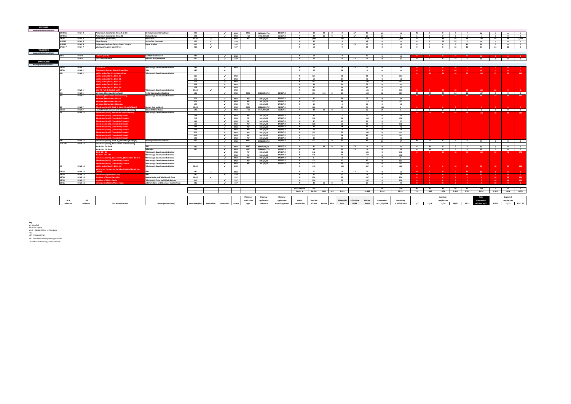| 17/22(2)                               | H-WH <sub>2</sub>           | Polkemmet, Heartlands, Areas A, B & C                                            | <b>Bellway Homes Ltd Scotland</b>           | 4.50            |                          | $\sqrt{ }$               | <b>WLLP</b>                | <b>MSC</b>  | 0890/MSC/10            | 10/12/13             | Y                            | 88              | 88 0             | $\overline{\mathbf{0}}$ | <b>AP</b>     | 88           | 62                      | 26                      | 26          | $\bullet$                                              | $\bullet$                                          | $\bullet$               | $\bullet$               | 26                    | $\overline{\mathbf{0}}$ | $\bullet$                                           | $\overline{\mathbf{0}}$                                                 |
|----------------------------------------|-----------------------------|----------------------------------------------------------------------------------|---------------------------------------------|-----------------|--------------------------|--------------------------|----------------------------|-------------|------------------------|----------------------|------------------------------|-----------------|------------------|-------------------------|---------------|--------------|-------------------------|-------------------------|-------------|--------------------------------------------------------|----------------------------------------------------|-------------------------|-------------------------|-----------------------|-------------------------|-----------------------------------------------------|-------------------------------------------------------------------------|
| 17/22(3)                               |                             | Polkemmet. Heartlands. Areas A6                                                  | <b>Ovster Homes</b>                         | 0.91            |                          | $\sim$                   | <b>WLLP</b>                | Full        | 0492/FUL/14            | 05/11/14             | Y                            | 20              | 20 0             | $\overline{\mathbf{0}}$ | <b>AP</b>     | 20           | 14                      | 6                       | $6^{\circ}$ | $\Omega$                                               | $\overline{\mathbf{0}}$                            | $\bullet$               | $\bullet$               | 6                     | $\bullet$               | $\bullet$                                           | $\bullet$                                                               |
| 17/22                                  | H-WH3                       | Polkemmet, (Remainder)                                                           | <b>Heartlands</b>                           | 81.90           | $\sim$                   |                          | WLLP                       | PiP         | 0493/P/02              | 10/05/06             | <b>N</b>                     | 2.683           |                  | 295                     |               | 2,388        | $\Omega$                | 2,683                   | $\bullet$   | $\Omega$                                               | 48                                                 | 48                      | 48                      | 144                   | 48                      | 48                                                  | 2,443                                                                   |
| H-WH <sub>5</sub>                      | H-WH <sub>5</sub>           | <b>Dixon Terrace</b>                                                             | <b>Springfield Properties</b>               | 2.50            | $\sim$                   |                          | LDP                        |             |                        |                      | N                            | 50              |                  | 8 <sup>2</sup>          |               | 42           | $\bullet$               | 50                      | $\bullet$   | $\bullet$                                              | 25                                                 | 25                      | $\bullet$               | 50                    | $\overline{0}$          | $\bullet$                                           | $\bullet$                                                               |
| H-WH <sub>6</sub><br>W-WH <sub>7</sub> | H-WH <sub>6</sub><br>H-WH 7 | <b>Polkemmet Business Centre, Dixon Terrace</b><br>Murraysgate, West Main Street | <b>David Bradley</b>                        | 0.40<br>2.60    | $\sim$                   |                          | LDP                        |             |                        |                      | N                            | 10<br>60        |                  | $\bullet$<br>$-9$       | <b>CS</b>     | 10<br>51     | $\bullet$               | 10                      | $\bullet$   | $\Omega$<br>$\overline{0}$                             | $\overline{\mathbf{0}}$<br>$\overline{\mathbf{0}}$ | $\bullet$<br>12         | 10<br>12                | 10                    | $\overline{\mathbf{0}}$ | $\bullet$                                           | $\bullet$ $\bullet$                                                     |
|                                        |                             |                                                                                  |                                             |                 | $\mathcal{L}$            |                          | <b>LDP</b>                 |             |                        |                      |                              |                 |                  |                         |               |              | $\Omega$                | 60                      | $\bullet$   |                                                        |                                                    |                         |                         | 24                    | 24                      | 12                                                  | $\overline{\phantom{0}}$                                                |
|                                        |                             |                                                                                  |                                             |                 |                          |                          |                            |             |                        |                      |                              |                 |                  |                         |               |              |                         |                         |             |                                                        |                                                    |                         |                         |                       |                         |                                                     |                                                                         |
| 32/1                                   | H-WI <sub>1</sub>           | inburn, (Site A)                                                                 | <b>Scottish War Blinded</b>                 | 4.65            |                          | $\sim$                   | <b>WLLP</b>                |             |                        |                      | N                            | 50              |                  | 8                       |               | 42           | $\bullet$               | 50                      |             |                                                        |                                                    | 25                      | 25                      | 50                    |                         |                                                     |                                                                         |
|                                        | $H-WI2$                     | <b>East Coxydene Farm</b>                                                        | <b>Neil and Marjorie Miller</b>             | 6.00            |                          | $\mathcal{L}$            | <b>LDP</b>                 |             |                        |                      | $\overline{N}$               | 25              |                  | $\bullet$               | <b>CS</b>     | 25           | $\overline{\mathbf{0}}$ | 25                      |             | $\begin{array}{ccc} \circ & \circ & \circ \end{array}$ | $\bullet$ $\bullet$                                |                         | 25 0                    |                       |                         | 25 0 0 0                                            |                                                                         |
|                                        |                             |                                                                                  |                                             |                 |                          |                          |                            |             |                        |                      |                              |                 |                  |                         |               |              |                         |                         |             |                                                        |                                                    |                         |                         |                       |                         |                                                     |                                                                         |
|                                        |                             |                                                                                  |                                             |                 |                          |                          |                            |             |                        |                      |                              |                 |                  |                         |               |              |                         |                         |             |                                                        |                                                    |                         |                         |                       |                         |                                                     |                                                                         |
| 18/05                                  | H-WB <sub>1</sub>           | astle Road                                                                       | <b>Winchburgh Developments Limited</b>      | 0.62            |                          |                          | <b>√</b> I WLLP            |             |                        |                      | N                            | 10              |                  | $\bullet$               | $\mathsf{cs}$ | 10           | $\bullet$               | 10                      |             |                                                        |                                                    |                         |                         |                       |                         |                                                     |                                                                         |
| 18/13                                  | H-WB <sub>2</sub>           | inchburgh Primary School, Dunn Place                                             | <b>WLC</b>                                  | 0.80            |                          | $\sim$                   |                            |             |                        |                      | N                            | 20              |                  | 20                      |               | $\bullet$    | $\bullet$               | 20                      |             |                                                        |                                                    | 20                      |                         | 20                    |                         | $\bullet$                                           | $\sim$ 0                                                                |
|                                        | $H-WB3$                     | <b>Idry Mains (North) and comprising</b>                                         | <b>Winchburgh Developments Limited</b>      |                 |                          |                          |                            |             |                        |                      |                              |                 |                  |                         |               |              |                         |                         |             |                                                        | 48                                                 | 48                      | 72                      | 216                   | 72                      | 72                                                  | 110                                                                     |
|                                        |                             | <b>Niddry Mains (North), Block CC</b>                                            |                                             | 3.27            |                          | $\overline{\phantom{a}}$ | <b>WLLP</b>                |             |                        |                      | N                            | 121             |                  | 30                      |               | 91           | $\bullet$               | 121                     |             |                                                        |                                                    |                         |                         |                       |                         |                                                     |                                                                         |
|                                        |                             | liddry Mains (North), Block DD                                                   |                                             | 1.46            |                          | $\sim$                   | <b>WLLP</b>                |             |                        |                      | N                            | 54              |                  | 14                      |               | 40           | $\overline{0}$          | 54                      |             |                                                        |                                                    |                         |                         |                       |                         |                                                     |                                                                         |
|                                        |                             | iddry Mains (North), Block EE                                                    |                                             | 6.17            |                          | $\sim$                   | <b>WLLP</b>                |             |                        |                      | N                            | 142             |                  | 36                      |               | 106          | $\overline{\mathbf{0}}$ | 142                     |             |                                                        |                                                    |                         |                         |                       |                         |                                                     |                                                                         |
|                                        |                             | liddry Mains (North), Block FF                                                   |                                             | 3.52            |                          | $\sim$                   | <b>WLLP</b>                |             |                        |                      | $\mathbf N$                  | 96              |                  | 24                      |               | 72           | $\bullet$               | 96                      |             |                                                        |                                                    |                         |                         |                       |                         |                                                     |                                                                         |
|                                        |                             | iddry Mains (North), Block GG                                                    |                                             | 2.58            |                          | $\checkmark$             | <b>WLLP</b>                |             |                        |                      | <b>N</b>                     | 57              |                  | 14                      |               | 43           | $\overline{\mathbf{0}}$ | 57                      |             |                                                        |                                                    |                         |                         |                       |                         |                                                     |                                                                         |
|                                        | H-WB 4                      | lay Pit, Park & Blocks S and T                                                   | <b>Winchburgh Developments Limited</b>      | 14.50           | $\overline{\phantom{a}}$ |                          | WILP                       |             |                        |                      | N                            | 166             |                  | 25                      |               | 141          | $\overline{0}$          | 166                     |             |                                                        | $-24$                                              | 48                      | 72                      | 144                   | 22                      |                                                     | $\sim$ 0                                                                |
| MS                                     | H-WB <sub>5</sub>           | Myreside, Block AA, (Seton Park)                                                 | <b>Taylor Wimpey East Scotland</b>          | 5.60            |                          | $\sim$                   | <b>WLLP</b>                | MSC         | 0426/MSC/13            | 23/08/13             | Y                            |                 | 153 153 0        | 23                      |               | 130          | 36                      | 117                     |             | $24$ 24                                                |                                                    |                         |                         | 24 24 21 117 0 0 0    |                         |                                                     |                                                                         |
|                                        | H-WB <sub>5</sub>           | <b>Ayreside, (Remainder) and comprising</b>                                      | <b>Winchburgh Developments Limited</b>      |                 |                          |                          |                            |             |                        |                      |                              |                 |                  |                         |               |              |                         |                         |             |                                                        | $\bullet$                                          | 24                      | $-24$                   | $-48$                 | $-24$                   | $-24$                                               | 171                                                                     |
|                                        |                             | yreside, (Remainder), Block X                                                    |                                             | 3.25            |                          | $\sim$                   | <b>WLLP</b>                | PiP         | 1012/P/05              | 17/04/12             | N                            | 97              |                  | 24                      |               | 73           | $\Omega$                | 97                      |             |                                                        |                                                    |                         |                         |                       |                         |                                                     |                                                                         |
|                                        |                             | <b>Ayreside, (Remainder), Block Y</b>                                            |                                             | 4.24            |                          | $\sim$                   | <b>WLLP</b>                | PiP         | 1012/P/05              | 17/04/12             | N                            | 157             |                  | 40                      |               | 117          | $\bullet$               | 157                     |             |                                                        |                                                    |                         |                         |                       |                         |                                                     |                                                                         |
|                                        |                             | vreside, (Remainder), Block AA                                                   |                                             | 5.55            |                          | $\mathcal{L}$            | WLLP                       | PiP         | 1012/P/05              | 17/04/12             | <b>N</b>                     | 13              |                  | $\mathbf{R}$            |               | 10           | $\Omega$                | 13                      |             |                                                        |                                                    |                         |                         |                       |                         |                                                     |                                                                         |
|                                        | H-WB 7                      | endevon (South), Block K, Site A (Churchill Brae)                                | <b>Barratt East Scotland</b>                | 33.00           |                          | $\sim$                   | <b>WLLP</b>                | <b>MSC</b>  | 0328/MSC/12            | 03/08/12             | Y                            | 106             |                  | 27                      |               | 79           | 100                     | 6                       |             | n                                                      | <b>DOM:</b>                                        | <b>DOM:</b>             | $\sim$ 0 $\sim$         | - 6 -                 |                         |                                                     | <b>Contract Contract Contract</b>                                       |
| 18/14                                  | H-WB9                       | Land at Glendevon Farm and Glendevon Steading                                    | <b>Stewart Milne Homes</b>                  | 1.95            |                          | $\sim$                   | <b>WLLP</b>                | Full        | 0173/FUL/14            | 06/01/15             | Y.                           | 38              | 38 0             | 6 <sup>1</sup>          |               | 32           | 35                      | $\overline{\mathbf{3}}$ |             |                                                        |                                                    |                         |                         | 3 0 0 0 0 0 3 0 0 0 0 |                         |                                                     |                                                                         |
|                                        | <b>H-WB 10</b>              | ilendevon (South), Remainder) and comprising                                     | <b>Winchburgh Developments Limited</b>      |                 |                          |                          |                            |             |                        |                      |                              |                 |                  |                         |               |              |                         |                         |             | 24                                                     | -48                                                | -48                     | -48                     | 168                   | 48                      | 48                                                  | 527                                                                     |
|                                        |                             | ndevon (South), (Remainder) Block J                                              |                                             | 1.01<br>7.43    |                          | $\checkmark$             | <b>WLLP</b>                | PiP         | 1012/P/05              | 17/04/12<br>17/04/12 | $\mathbf N$<br>N             | 27              |                  | $\overline{7}$          |               | 20<br>148    | $\bullet$               | 27                      |             |                                                        |                                                    |                         |                         |                       |                         |                                                     |                                                                         |
|                                        |                             | endevon (South), (Remainder) Block H<br>lendevon (South), (Remainder) Block G    |                                             | 2.69            |                          | $\sim$<br>$\rightarrow$  | <b>WLLP</b>                | PiP<br>PiP  | 1012/P/05              | 17/04/12             | N                            | 198<br>67       |                  | 50<br>17                |               | 50           | $\bullet$               | 198                     |             |                                                        |                                                    |                         |                         |                       |                         |                                                     |                                                                         |
|                                        |                             | ndevon (South), (Remainder) Block C                                              |                                             | 5.10            |                          | $\checkmark$             | <b>WLLP</b><br><b>WLLP</b> | PiP         | 1012/P/05<br>1012/P/05 | 17/04/12             | $\mathsf{N}$                 | 128             |                  | 32                      |               | 90           | $\Omega$<br>$\bullet$   | 67<br>128               |             |                                                        |                                                    |                         |                         |                       |                         |                                                     |                                                                         |
|                                        |                             | lendevon (South), (Remainder) Block I                                            |                                             | 2.93            |                          | $\sim$                   | <b>WLLP</b>                | PiP         | 1012/P/05              | 17/04/12             | N                            | 73              |                  | 18                      |               | 55           | $\overline{\mathbf{0}}$ | 73                      |             |                                                        |                                                    |                         |                         |                       |                         |                                                     |                                                                         |
|                                        |                             | <b>Slendevon (South), (Remainder) Block D</b>                                    |                                             | 0.51            |                          | $\overline{\phantom{a}}$ | <b>WLLP</b>                | PiP         | 1012/P/05              | 17/04/12             | N                            | 14              |                  | $\overline{a}$          |               | 10           | $\sim$                  | 14                      |             |                                                        |                                                    |                         |                         |                       |                         |                                                     |                                                                         |
|                                        |                             | ndevon (South), (Remainder) Block A                                              |                                             | 4.74            |                          | $\mathcal{L}$            | <b>WLLP</b>                | PiP         | 1012/P/05              | 17/04/12             | $\mathbf N$                  | 133             |                  | 33                      |               | 100          | $\bullet$               | 133                     |             |                                                        |                                                    |                         |                         |                       |                         |                                                     |                                                                         |
|                                        |                             | endevon (South), (Remainder) Block B                                             |                                             | 4.45            |                          | $\sim$                   | <b>WLLP</b>                | PiP         | 1012/P/05              | 17/04/12             | N                            | 111             |                  | 28                      |               | 83           | $\bullet$               | 111                     |             |                                                        |                                                    |                         |                         |                       |                         |                                                     |                                                                         |
|                                        |                             | devon (South), (Remainder) Block F                                               |                                             | 1.58            |                          | $\epsilon$               | <b>WLLP</b>                | PiP         | 1012/P/05              | 17/04/12             | <b>N</b>                     | 40              |                  | 10                      |               | 30           | $\Omega$                | 40                      |             |                                                        |                                                    |                         |                         |                       |                         |                                                     |                                                                         |
|                                        | <b>H-WB11</b>               | Glendevon (North), Block M, (Winchburgh Village)                                 | <b>Bellway Homes Ltd Scotland</b>           | 4.50            |                          | $\sim$                   | <b>WLLP</b>                | MSC         | 0432/MSC/13            | 26/08/12             | Y                            | 111             | 111<br>$\bullet$ | 17                      |               | 94           | 64                      | 47                      | 36          | 11                                                     | $\bullet$                                          | $\circ$ $\qquad$        | $\bullet$               | 47                    | $\bullet$               |                                                     | $\overline{\mathbf{0}}$ $\overline{\mathbf{0}}$ $\overline{\mathbf{0}}$ |
| <b>CDA-GN</b>                          | <b>H-WB 12</b>              | Glendevon (North), Town Centre and comprising                                    |                                             |                 |                          |                          |                            |             |                        |                      |                              |                 |                  |                         |               |              |                         |                         |             |                                                        |                                                    |                         |                         |                       |                         |                                                     |                                                                         |
|                                        |                             | Block Q1 + Q3 Site B                                                             | <b>WLC</b>                                  | 0.92            |                          | $\sim$                   | WILP                       | <b>MSC</b>  | 0372/MSC/15            | 24/07/15             | N                            | 41              | 41 0             | 41                      | CS.           | $\mathbf{0}$ | $\mathbf{a}$            | 41                      | $\Omega$    | 41                                                     | $\Omega$                                           | $\mathbf{0}$            | $^{\circ}$              | 41                    | $\mathbf{0}$            | $\sim$                                              | $\overline{\mathbf{0}}$                                                 |
|                                        |                             | Block Q1 + Q3 Site A                                                             | Wheatley                                    | 8.80            |                          | $\rightarrow$            | <b>WLLP</b>                | MSC         | 0386/MSC/15            | 10/09/15             | $\mathbf N$                  | 55              |                  | 55                      | <b>CS</b>     | $\bullet$    | $\bullet$               | 55                      | $\bullet$   | 55                                                     | $\bullet$                                          | $\overline{\mathbf{0}}$ | $\overline{\mathbf{0}}$ | 55                    | $\overline{\mathbf{0}}$ | $\overline{\phantom{a}}$ 0 $\overline{\phantom{a}}$ | $\overline{\mathbf{0}}$                                                 |
|                                        |                             | $lock 02 + 01$                                                                   | <b>Winchburgh Developments Limited</b>      |                 |                          | $\sim$                   | <b>WLLP</b>                | PiP         | 1012/P/05              | 17/04/12             | $\mathbb N$                  | 142             |                  | 36                      |               | 106          | $\bullet$               | 142                     |             |                                                        | -48                                                | - 48                    | - 48                    | 144                   | - 72                    | - 72                                                | 372                                                                     |
|                                        |                             | $locks$ $P1 + P2 + P3$                                                           | <b>Winchburgh Developments Limited</b>      |                 |                          | $\sim$                   | <b>WLLP</b>                | PiP         | 1012/P/05              | 17/04/12             | $\mathbb{N}$                 | 178             |                  | 45                      |               | 133          | $\Omega$                | 178                     |             |                                                        |                                                    |                         |                         |                       |                         |                                                     |                                                                         |
|                                        |                             | ndevon (North), Town Centre, (Remainder) Block K                                 | <b>Winchburgh Developments Limited</b>      |                 |                          | $\checkmark$             | <b>WLLP</b>                | PiP         | 1012/P/05              | 17/04/12             | $\mathbb{N}$                 | 5               |                  | $\bullet$               |               | 5            | $\bullet$               | $5^{\circ}$             |             |                                                        |                                                    |                         |                         |                       |                         |                                                     |                                                                         |
|                                        |                             | <b>Slendevon (North), (Remainder) Block N</b>                                    | <b>Winchburgh Developments Limited</b>      |                 |                          | $\checkmark$             | <b>WLLP</b>                | PiP         | 1012/P/05              | 17/04/12             | $\mathbb{N}$                 | 123             |                  | 31                      |               | 92           | $\bullet$               | 123                     |             |                                                        |                                                    |                         |                         |                       |                         |                                                     |                                                                         |
|                                        |                             | endevon (North), (Remainder) Block O                                             | <b>Winchburgh Developments Limited</b>      |                 |                          | $\sim$                   | <b>WLLP</b>                | PiP         | 1012/P/05              | 17/04/20             | N<br>$\mathsf{N}$            | 212             |                  | 53                      |               | 159          | $\Omega$                | 212                     |             |                                                        |                                                    |                         |                         |                       |                         |                                                     |                                                                         |
|                                        | <b>H-WB 13</b>              | <b>Idry Mains (South), Block HH</b>                                              | <b>Ninchburgh Developments Limited</b>      | 32.50           |                          | $\overline{\phantom{a}}$ | <b>WLLP</b>                |             |                        |                      |                              | 410             |                  | 103                     |               | 307          | $\bullet$               | 410                     |             | $\bullet$                                              | $\bullet$ $\bullet$                                | 48                      | 48                      | 96                    | 48                      | 48                                                  | 218                                                                     |
| 18/15                                  | <b>H-WB 14</b>              | ain Street (former Beatlie School & Winchburgh Day                               | <b>WLC</b>                                  | 0.60            | $\overline{\phantom{a}}$ |                          | <b>WLLP</b>                |             |                        |                      |                              | 11              |                  | $\sim$                  | <b>CS</b>     | 11           |                         | 11                      |             |                                                        |                                                    |                         |                         |                       |                         |                                                     |                                                                         |
| 18/18                                  | <b>H-WB 15</b>              | devon (regeneration site)                                                        | <b>WIC</b>                                  | 0.80            |                          | $\checkmark$             | <b>LDP</b>                 |             |                        |                      | <b>N</b>                     | 27              |                  | 27                      |               | $\Omega$     | $\Omega$                | 27                      |             |                                                        |                                                    |                         |                         | 27                    |                         |                                                     | $\overline{\phantom{a}}$                                                |
| 18/18                                  | <b>H-WB 16</b>              | e West of Ross's Plantation                                                      | Niddry Mains and Winchburgh Trust           | 10.30           | $\sim$                   |                          | LDP                        |             |                        |                      | N                            | 250             |                  | 63                      |               | 187          | $\Omega$                | 250                     |             |                                                        |                                                    |                         |                         |                       | 48                      | 48                                                  | 154                                                                     |
| 18/19                                  | <b>H-WB 17</b>              | te West of Niddry Castle                                                         | <b>Winchburgh Trust and Aithrie Estates</b> | 9.40            |                          | $\epsilon$               | <b>LDP</b>                 |             |                        |                      | <b>N</b>                     | 250             |                  | 63                      |               | 187          | $\bullet$               | 250                     |             |                                                        |                                                    |                         |                         |                       | 48                      | 48                                                  | 154                                                                     |
| 18/16                                  | <b>H-WB18</b>               | ite adjoining Niddry Mains House                                                 | Aithrie Estates and Hopetoun Estates Trust  | 2.80            |                          | $\rightarrow$            | <b>LDP</b>                 |             |                        |                      | N                            | 30              | 30<br>$\bullet$  | 5 <sup>5</sup>          |               | 25           | $\bullet$               | 30                      |             |                                                        |                                                    |                         |                         |                       | 30                      |                                                     | $\bullet$                                                               |
|                                        |                             |                                                                                  |                                             |                 |                          |                          |                            |             |                        |                      |                              |                 |                  |                         |               |              |                         |                         |             |                                                        |                                                    |                         |                         |                       |                         |                                                     |                                                                         |
|                                        |                             |                                                                                  |                                             |                 |                          |                          |                            |             |                        |                      | Small Sites ▶                | 240             |                  |                         |               |              | 40                      | 200                     | 40 1        | 40                                                     | 40                                                 | 40                      | 40                      | 200                   | $\bullet$ $\bullet$     |                                                     | $\overline{0}$ 0                                                        |
|                                        |                             |                                                                                  |                                             |                 |                          |                          |                            |             |                        |                      | Totals $\blacktriangleright$ |                 | 24,705 3,651 915 | 5.923                   |               | 18,463       | 1.314                   | 23.391                  | 728         | 1.169                                                  | 1,476                                              | 2.699                   | 2,782                   | 8.854                 | 1.830                   | 1,636                                               | 11,071                                                                  |
|                                        |                             |                                                                                  |                                             |                 |                          |                          |                            |             | Planning               | Planning             |                              |                 |                  |                         |               |              |                         |                         |             |                                                        | Expected                                           |                         |                         | <b>Total</b>          |                         | <b>Expected</b>                                     |                                                                         |
| <b>HLA</b>                             | IDI                         |                                                                                  |                                             |                 |                          |                          |                            | application | application            | application          | Under                        | <b>Total No</b> |                  | <b>Affordable</b>       | Affordable    | Private      | Completions             | Remaining               |             |                                                        | completions                                        |                         |                         | completio             |                         | completions                                         |                                                                         |
| reference                              | reference                   | <b>Site Name/Location</b>                                                        | Developer (or owner)                        | Gross Area (ha) | <b>Brownfield</b>        | Greenfield               | Source                     | tyne        | reference              | date of approval     | construction                 | of units        | Flats<br>Houses  | units                   | CS/AP         | Sector       | at 31/03/2016           | at 01/04/2016           |             | 16/17 17/18                                            | 18/19                                              |                         | 19/20 20/21             | 16/17 to 20/21        | 21/22                   | 22/23 POST 23                                       |                                                                         |
|                                        |                             |                                                                                  |                                             |                 |                          |                          |                            |             |                        |                      |                              |                 |                  |                         |               |              |                         |                         |             |                                                        |                                                    |                         |                         |                       |                         |                                                     |                                                                         |
|                                        |                             |                                                                                  |                                             |                 |                          |                          |                            |             |                        |                      |                              |                 |                  |                         |               |              |                         |                         |             |                                                        |                                                    |                         |                         |                       |                         |                                                     |                                                                         |

**Key**<br>BS - Base Supply<br>WLLP - Adopted West Lothian Local<br>Plan<br>AP - Proposed Plan<br>AP - Affordable housing commuted sum<br>AP - Affordable housing commuted sum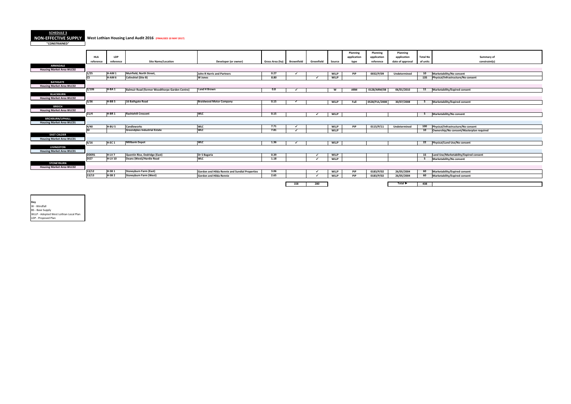**SCHEDULE 3 NON-EFFECTIVE SUPPLY West Lothian Housing Land Audit 2016 (FINALISED 10 MAY 2017)**

**"CONSTRAINED"**

| o | Summary of                               |
|---|------------------------------------------|
| Ś | constraint(s)                            |
|   |                                          |
|   |                                          |
|   | Marketability/No consent                 |
|   | Physical/Infrastructure/No consent       |
|   |                                          |
|   |                                          |
|   | Marketability/Expired consent            |
|   |                                          |
|   |                                          |
|   | Marketability/Expired consent            |
|   |                                          |
|   |                                          |
|   | Marketability/No consent                 |
|   |                                          |
|   |                                          |
|   | Physical/Infrastructure/No consent       |
|   | Ownership/No consent/Masterplan required |
|   |                                          |
|   | Physical/Land Use/No consent             |
|   |                                          |
|   |                                          |
|   | Land Use/Marketability/Expired consent   |
|   | Marketability/No consent                 |
|   |                                          |
|   |                                          |
|   | Marketability/Expired consent            |
|   | Marketability/Expired consent            |
|   |                                          |
|   |                                          |

|                                  |                        |                   |                                                |                                                |                            |     |            |             | Planning    | Planning      | Planning                    |                 |                                          |
|----------------------------------|------------------------|-------------------|------------------------------------------------|------------------------------------------------|----------------------------|-----|------------|-------------|-------------|---------------|-----------------------------|-----------------|------------------------------------------|
|                                  | <b>HLA</b>             | LDP               |                                                |                                                |                            |     |            |             | application | application   | application                 | <b>Total No</b> | Summary of                               |
|                                  | reference              | reference         | <b>Site Name/Location</b>                      | Developer (or owner)                           | Gross Area (ha) Brownfield |     | Greenfield | Source      | type        | reference     | date of approval            | of units        | constraint(s)                            |
| <b>ARMADALE</b>                  |                        |                   |                                                |                                                |                            |     |            |             |             |               |                             |                 |                                          |
| <b>Housing Market Area WLC02</b> |                        |                   |                                                |                                                |                            |     |            |             |             |               |                             |                 |                                          |
|                                  | 1/25                   | H-AM1             | Muirfield, North Street,                       | John R Harris and Partners                     | 0.27                       |     |            | <b>WLLP</b> | PiP         | 0032/P/09     | Undetermined                | 10              | Marketability/No consent                 |
|                                  | $\overline{\text{cs}}$ | H-AM <sub>6</sub> | <b>Colinshiel (Site B)</b>                     | W Jones                                        | 8.80                       |     | ر.         | <b>WLLP</b> |             |               |                             | 135             | Physical/Infrastructure/No consent       |
| <b>BATHGATE</b>                  |                        |                   |                                                |                                                |                            |     |            |             |             |               |                             |                 |                                          |
| <b>Housing Market Area WLC02</b> |                        |                   |                                                |                                                |                            |     |            |             |             |               |                             |                 |                                          |
|                                  | 2/106                  | H-BA <sub>1</sub> | Balmuir Road (former Woodthorpe Garden Centre) | I and H Brown                                  | 0.8                        |     |            | W           | ARM         | 0128/ARM/08   | 06/01/2010                  | 11              | Marketability/Expired consent            |
| <b>BLACKBURN</b>                 |                        |                   |                                                |                                                |                            |     |            |             |             |               |                             |                 |                                          |
| <b>Housing Market Area WLC02</b> |                        |                   |                                                |                                                |                            |     |            |             |             |               |                             |                 |                                          |
|                                  | 3/36                   | $H-BB5$           | 16 Bathgate Road                               | <b>Braidwood Motor Company</b>                 | 0.15                       |     |            | <b>WLLP</b> | Full        | 0528/FUL/2008 | 30/07/2008                  | 5               | Marketability/Expired consent            |
| <b>BREICH</b>                    |                        |                   |                                                |                                                |                            |     |            |             |             |               |                             |                 |                                          |
| <b>Housing Market Area WLC02</b> |                        |                   |                                                |                                                |                            |     |            |             |             |               |                             |                 |                                          |
|                                  | 21/4                   | H-BR <sub>1</sub> | <b>Rashiehill Crescent</b>                     | <b>WIC</b>                                     | 0.15                       |     |            | <b>WLLP</b> |             |               |                             | - 5             | Marketability/No consent                 |
| <b>BROXBURN/UPHALL</b>           |                        |                   |                                                |                                                |                            |     |            |             |             |               |                             |                 |                                          |
| <b>Housing Market Area WLC01</b> |                        |                   |                                                |                                                |                            |     |            |             |             |               |                             |                 |                                          |
|                                  | 4/40                   | H-BU <sub>5</sub> | <b>Candleworks</b>                             | <b>WLC</b>                                     | 7.71                       |     |            | <b>WLLP</b> | PiP         | 0115/P/11     | Undetermined                | 100             | Physical/Infrastructure/No consent       |
|                                  |                        |                   | <b>Greendykes Industrial Estate</b>            | <b>WLC</b>                                     | 7.81                       |     |            | <b>WLLP</b> |             |               |                             | 10              | Ownership/No consent/Masterplan required |
| <b>EAST CALDER</b>               |                        |                   |                                                |                                                |                            |     |            |             |             |               |                             |                 |                                          |
| <b>Housing Market Area WLC01</b> |                        |                   |                                                |                                                |                            |     |            |             |             |               |                             |                 |                                          |
|                                  | 6/16                   | H-EC <sub>1</sub> | <b>Millbank Depot</b>                          | <b>WLC</b>                                     | 1.36                       |     |            | <b>WLLP</b> |             |               |                             | 22              | Physical/Land Use/No consent             |
| <b>LIVINGSTON</b>                |                        |                   |                                                |                                                |                            |     |            |             |             |               |                             |                 |                                          |
| <b>Housing Market Area WLC01</b> |                        |                   |                                                |                                                |                            |     |            |             |             |               |                             |                 |                                          |
|                                  | DDER1                  | $H-UV$ 7          | Quentin Rise, Dedridge (East)                  | Dr S Bagaria                                   | 0.39                       |     |            | <b>WLLP</b> |             |               |                             | 15              | Land Use/Marketability/Expired consent   |
|                                  | <b>DI27</b>            | <b>H-LV 10</b>    | Deans (West)/Hardie Road                       | <b>WLC</b>                                     | 1.18                       |     |            | <b>WLLP</b> |             |               |                             |                 | Marketability/No consent                 |
| <b>STONEYBURN</b>                |                        |                   |                                                |                                                |                            |     |            |             |             |               |                             |                 |                                          |
| <b>Housing Market Area WLC02</b> |                        |                   |                                                |                                                |                            |     |            |             |             |               |                             |                 |                                          |
|                                  | 13/12                  | H-SB <sub>1</sub> | <b>Stoneyburn Farm (East)</b>                  | Gordon and Hilda Rennie and Sundial Properties | 3.06                       |     | ✔          | <b>WLLP</b> | PiP         | 0183/P/02     | 26/05/2004                  | 60              | Marketability/Expired consent            |
|                                  | 13/13                  | $H-SB2$           | <b>Stoneyburn Farm (West)</b>                  | <b>Gordon and Hilda Rennie</b>                 | 2.65                       |     |            | <b>WLLP</b> | PiP         | 0183/P/02     | 26/05/2004                  | 60              | Marketability/Expired consent            |
|                                  |                        |                   |                                                |                                                |                            |     |            |             |             |               |                             |                 |                                          |
|                                  |                        |                   |                                                |                                                |                            | 158 | 280        |             |             |               | Total $\blacktriangleright$ | 438             |                                          |
|                                  |                        |                   |                                                |                                                |                            |     |            |             |             |               |                             |                 |                                          |

**Key**<br>W - Windfall<br>BS - Base Supply<br>WLLP - Adopted West Lothian Local Plan<br>LDP - Proposed Plan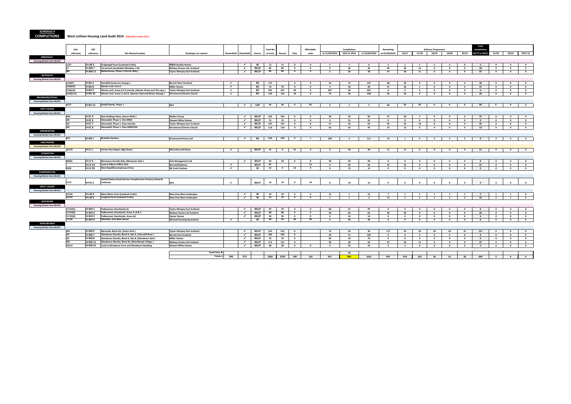**SCHEDULE 4**

#### **COMPLETIONS West Lothian Housing Land Audit 2016 (FINALISED 10 MAY 2017)**

|                                  | <b>HLA</b>            | <b>LDP</b>                             |                                                                                                                               |                                                                          |                          |                              |                            | <b>Total No</b> |                         |                                                    | <b>Affordable</b>                    |                                | Completions                             |                            | Remaining               |                                |                                         | <b>Delivery Programme</b>               |                                                    |                                         | Total<br>completions          |                                                    |                                      |                                                    |
|----------------------------------|-----------------------|----------------------------------------|-------------------------------------------------------------------------------------------------------------------------------|--------------------------------------------------------------------------|--------------------------|------------------------------|----------------------------|-----------------|-------------------------|----------------------------------------------------|--------------------------------------|--------------------------------|-----------------------------------------|----------------------------|-------------------------|--------------------------------|-----------------------------------------|-----------------------------------------|----------------------------------------------------|-----------------------------------------|-------------------------------|----------------------------------------------------|--------------------------------------|----------------------------------------------------|
|                                  | reference             | reference                              | <b>Site Name/Location</b>                                                                                                     | Developer (or owner)                                                     | Brownfield               | Greenfield                   | Source                     | of units        | Houses                  | Flats                                              | units                                | to 31/03/2015                  |                                         | 2015 to 2016 to 31/03/2016 | at 01/04/2016           | 16/17                          | 17/18                                   | 18/19                                   | 19/20                                              | 20/21                                   | 16/17 to 20/21                | 21/22                                              | 22/23                                | <b>POST 23</b>                                     |
| <b>ARMADALE</b>                  |                       |                                        |                                                                                                                               |                                                                          |                          |                              |                            |                 |                         |                                                    |                                      |                                |                                         |                            |                         |                                |                                         |                                         |                                                    |                                         |                               |                                                    |                                      |                                                    |
| <b>Housing Market Area WLC02</b> |                       |                                        |                                                                                                                               |                                                                          |                          |                              |                            |                 |                         |                                                    |                                      |                                |                                         |                            |                         |                                |                                         |                                         |                                                    |                                         |                               |                                                    |                                      |                                                    |
|                                  | 1/37                  | H-LW 2                                 | <b>Craigengall Farm (Lowland Crofts)</b>                                                                                      | <b>M&amp;M Quality Homes</b>                                             |                          | $\checkmark$                 | W                          | 11              | 11                      | $\overline{\mathbf{0}}$                            | $\mathbf{0}$                         | $\overline{\phantom{0}}$       | $\overline{1}$                          | 6                          | 5                       | $\overline{\mathbf{1}}$        | $\mathbf{1}$                            | $\mathbf{1}$                            | $\overline{2}$                                     | $\mathbf{0}$                            | 5                             | $\bullet$                                          | $\mathbf{0}$                         | $\mathbf{0}$                                       |
|                                  |                       | H-AM <sub>7</sub><br>$H-AM11$          | Tarrareoch (Southdale Meadows) H2<br>Netherhouse, Phase 2 (Ferrier Way)                                                       | <b>Bellway Homes Ltd, Scotland</b><br><b>Taylor Wimpey East Scotland</b> |                          | $\checkmark$<br>$\checkmark$ | <b>WLLP</b><br><b>WLLP</b> | 85<br>85        | 85<br>85                | $\overline{\mathbf{0}}$<br>$\bullet$               | $\overline{\mathbf{0}}$<br>$\bullet$ | $\mathbf{0}$<br>$\overline{2}$ | 36<br>36                                | 36<br>38                   | 49<br>47                | 36<br>36                       | 13<br>11                                | $\mathbf 0$<br>$\overline{\mathbf{0}}$  | $\overline{\mathbf{0}}$<br>$\bullet$               | $\mathbf{0}$<br>$\overline{\mathbf{0}}$ | 49<br>47                      | $\mathbf{0}$<br>$\overline{\mathbf{0}}$            | $\mathbf 0$<br>$\bullet$             | $\overline{\mathbf{0}}$<br>$\overline{\mathbf{0}}$ |
| <b>BATHGATE</b>                  |                       |                                        |                                                                                                                               |                                                                          |                          |                              |                            |                 |                         |                                                    |                                      |                                |                                         |                            |                         |                                |                                         |                                         |                                                    |                                         |                               |                                                    |                                      |                                                    |
| <b>Housing Market Area WLC02</b> |                       |                                        |                                                                                                                               |                                                                          |                          |                              |                            |                 |                         |                                                    |                                      |                                |                                         |                            |                         |                                |                                         |                                         |                                                    |                                         |                               |                                                    |                                      |                                                    |
|                                  | 2/66(7)               | H-BA <sub>3</sub>                      | <b>Standhill (Inchcross Grange)</b>                                                                                           | <b>Barratt West Scotland</b>                                             | $\checkmark$             |                              | BS                         | 175             |                         | $\overline{\mathbf{0}}$                            | $\bullet$                            | 35                             | 72                                      | 107                        | 68                      | 39                             | $\mathbf{0}$                            | $\mathbf{0}$                            | $\overline{\mathbf{0}}$                            | $\mathbf{0}$                            | 39                            | $\mathbf{0}$                                       | $\mathbf{0}$                         | $\bullet$                                          |
|                                  | 2/66(15)              | H-BA <sub>8</sub>                      | Wester Inch, Area S                                                                                                           | <b>Miller Homes</b>                                                      | $\checkmark$             |                              | BS                         | 76              | 76                      | $\overline{\mathbf{0}}$                            | $\mathbf{0}$                         | $\overline{\mathbf{3}}$        | 36                                      | 39                         | 37                      | 36                             | $\mathbf{1}$                            | $\mathbf{0}$                            | $\overline{\mathbf{0}}$                            | $\mathbf{0}$                            | 37                            | $\mathbf{0}$                                       | $\mathbf{0}$                         | $\mathbf{0}$                                       |
|                                  | 2/66(16)<br>2/66(17a) | H-BA <sub>9</sub><br><b>H-BA 10</b>    | Wester Inch, Areas X, Y, Z and AA, (Wester Grove and The Lays)<br>Wester Inch, Areas U and V, (Queens Gait and Reiver Grange) | <b>Taylor Wimpey East Scotland</b><br><b>Persimmon/Charles Church</b>    | $\checkmark$<br>✓        |                              | BS<br>BS                   | 291<br>134      | 247                     | 44<br>18                                           | $\mathbf{0}$<br>$\mathbf{0}$         | 267<br>72                      | 24                                      | 291                        | $\Omega$<br>26          | $\mathbf{0}$                   | $\mathbf 0$<br>$\mathbf 0$              | $\mathbf{0}$<br>$\mathbf 0$             | $\Omega$                                           | $\mathbf{0}$                            | $\Omega$                      | $\overline{\mathbf{0}}$<br>$\mathbf{0}$            | $\mathbf{0}$                         | $\mathbf{0}$                                       |
| <b>BROXBURN/UPHALL</b>           |                       |                                        |                                                                                                                               |                                                                          |                          |                              |                            |                 | 116                     |                                                    |                                      |                                | 36                                      | 108                        |                         | 26                             |                                         |                                         | $\overline{\mathbf{0}}$                            | $\mathbf{0}$                            | 26                            |                                                    | $\mathbf{0}$                         | $\overline{\mathbf{0}}$                            |
| <b>Housing Market Area WLC01</b> |                       |                                        |                                                                                                                               |                                                                          |                          |                              |                            |                 |                         |                                                    |                                      |                                |                                         |                            |                         |                                |                                         |                                         |                                                    |                                         |                               |                                                    |                                      |                                                    |
|                                  | 4/57                  |                                        | H-BU 13 Kirkhill North, Phase 1                                                                                               | <b>WLC</b>                                                               |                          | $\checkmark$                 | <b>LDP</b>                 | 45              | 45                      | $\mathbf{o}$                                       | 45                                   | $\Omega$                       |                                         | - 5                        | 40                      | 20                             | 20                                      |                                         |                                                    |                                         | 40                            | $\mathbf 0$                                        | $\bullet$                            | $\overline{\mathbf{0}}$                            |
| <b>EAST CALDER</b>               |                       |                                        |                                                                                                                               |                                                                          |                          |                              |                            |                 |                         |                                                    |                                      |                                |                                         |                            |                         |                                |                                         |                                         |                                                    |                                         |                               |                                                    |                                      |                                                    |
| <b>Housing Market Area WLC01</b> |                       |                                        |                                                                                                                               |                                                                          |                          |                              |                            |                 |                         |                                                    |                                      |                                |                                         |                            |                         |                                |                                         |                                         |                                                    |                                         |                               |                                                    |                                      |                                                    |
|                                  | <b>RW</b>             | H-EC <sub>4</sub>                      | Raw Holdings West, (Seven Wells)                                                                                              | <b>Walker Group</b>                                                      |                          | $\checkmark$                 | <b>WLLP</b>                | 103             | 103                     | $\bullet$                                          | $\overline{\mathbf{0}}$              | 30                             | 36                                      | 66                         | 37                      | 30                             | $\overline{7}$                          | $\overline{0}$                          | $\overline{\mathbf{0}}$                            | $\overline{\mathbf{0}}$                 | 37                            | $\overline{\mathbf{0}}$                            | $\mathbf{0}$                         | $\overline{\mathbf{0}}$                            |
|                                  | <b>AD</b><br>AD       | H-EC <sub>6</sub><br>H-EC <sub>7</sub> | Almondell, Phase 1, Site MWd                                                                                                  | <b>Stewart Milne Homes</b>                                               |                          | $\checkmark$<br>$\checkmark$ | <b>WLLP</b><br><b>WLLP</b> | 31              | 31<br>107               | $\overline{\mathbf{0}}$                            | $\mathbf{0}$<br>$\mathbf{0}$         | $\bullet$<br>27                | 31                                      | 31<br>62                   | $\Omega$<br>45          | $\mathbf 0$                    | $\mathbf{0}$                            | $\overline{\mathbf{0}}$                 | $\overline{\mathbf{0}}$                            | $\mathbf{0}$                            | $\mathbf{0}$<br>45            | $\overline{\mathbf{0}}$                            | $\mathbf{0}$<br>$\bf{0}$             | $\mathbf{0}$<br>$\mathbf{0}$                       |
|                                  |                       | H-EC <sub>8</sub>                      | Almondell, Phase 1, Sites LKa/LKc<br>Almondell, Phase 1, Sites MWf/LKb                                                        | <b>Taylor Wimpey East Scotland</b><br><b>Persimmon/Charles Church</b>    |                          | $\checkmark$                 | <b>WLLP</b>                | 107<br>110      | 110                     | $\overline{\mathbf{0}}$<br>$\overline{\mathbf{0}}$ | $\mathbf{0}$                         | 62                             | 35<br>35                                | 97                         | 13                      | 35<br>13                       | 10<br>$\overline{\mathbf{0}}$           | $\overline{\mathbf{0}}$<br>$\mathbf{0}$ | $\overline{\mathbf{0}}$<br>$\overline{\mathbf{0}}$ | $\mathbf{0}$<br>$\overline{\mathbf{0}}$ | 13                            | $\overline{\mathbf{0}}$<br>$\mathbf{0}$            | $\mathbf{0}$                         | $\overline{\mathbf{0}}$                            |
| <b>KIRKNEWTON</b>                |                       |                                        |                                                                                                                               |                                                                          |                          |                              |                            |                 |                         |                                                    |                                      |                                |                                         |                            |                         |                                |                                         |                                         |                                                    |                                         |                               |                                                    |                                      |                                                    |
| <b>Housing Market Area WLC01</b> |                       |                                        |                                                                                                                               |                                                                          |                          |                              |                            |                 |                         |                                                    |                                      |                                |                                         |                            |                         |                                |                                         |                                         |                                                    |                                         |                               |                                                    |                                      |                                                    |
|                                  | 9/2                   | <b>H-KN1</b>                           | <b>Braekirk Gardens</b>                                                                                                       | <b>Drummond Homes Ltd</b>                                                |                          | $\checkmark$                 | BS                         | 124             | 124                     |                                                    |                                      | 109                            | $\overline{\mathbf{2}}$                 | 111                        | 13                      | $\overline{\mathbf{1}}$        | $\overline{2}$                          | $\overline{2}$                          | $\overline{2}$                                     | $\overline{2}$                          | 9                             | $\overline{\mathbf{2}}$                            | $\overline{2}$                       | $\mathbf{0}$                                       |
| <b>LINLITHGOW</b>                |                       |                                        |                                                                                                                               |                                                                          |                          |                              |                            |                 |                         |                                                    |                                      |                                |                                         |                            |                         |                                |                                         |                                         |                                                    |                                         |                               |                                                    |                                      |                                                    |
| <b>Housing Market Area WLC03</b> | 10/79                 | <b>H-LL 1</b>                          | Former Bus Depot, High Street                                                                                                 | <b>McCarthy and Stone</b>                                                | $\checkmark$             |                              | <b>WLLP</b>                | 41              | $\overline{\mathbf{0}}$ | 41                                                 |                                      |                                | 30                                      | 30                         | 11                      | 11                             | $\overline{\mathbf{0}}$                 |                                         | $\overline{\mathbf{0}}$                            |                                         | 11                            | $\overline{\mathbf{0}}$                            | $\overline{\mathbf{0}}$              |                                                    |
| <b>LIVINGSTON</b>                |                       |                                        |                                                                                                                               |                                                                          |                          |                              |                            |                 |                         |                                                    | $\overline{\mathbf{0}}$              | $\bullet$                      |                                         |                            |                         |                                |                                         | $\overline{\mathbf{0}}$                 |                                                    | $\overline{\mathbf{0}}$                 |                               |                                                    |                                      | $\overline{\mathbf{0}}$                            |
| <b>Housing Market Area WLC02</b> |                       |                                        |                                                                                                                               |                                                                          |                          |                              |                            |                 |                         |                                                    |                                      |                                |                                         |                            |                         |                                |                                         |                                         |                                                    |                                         |                               |                                                    |                                      |                                                    |
|                                  | MS6A                  | H-LV 2                                 | Murieston (South) (6A), (Murieston Gait)                                                                                      | <b>Cala Management Ltd</b>                                               |                          | $\checkmark$                 | <b>WLLP</b>                | 59              | 59                      | $\bullet$                                          | 8                                    | 30                             | 29                                      | 59                         | $\mathbf{0}$            | $\bullet$                      | $\mathbf{0}$                            | $\bullet$                               | $\bullet$                                          | $\mathbf{0}$                            | $\bullet$                     | $\mathbf{0}$                                       | $\overline{\mathbf{0}}$              | $\overline{\mathbf{0}}$                            |
|                                  |                       | <b>H-LV 14</b>                         | Land at Eliburn Office Park                                                                                                   | <b>Barratt/Gladman</b>                                                   | $\overline{\phantom{a}}$ |                              | <b>WLLP</b>                | 87              |                         |                                                    | 13                                   | $\Omega$                       | 56                                      | 56                         | 31                      | 31                             | $\mathbf 0$                             | $\mathbf{0}$                            | $\overline{\mathbf{0}}$                            | $\mathbf{0}$                            | 31                            | $\mathbf{0}$                                       | $\mathbf{0}$                         | $\mathbf{0}$                                       |
| <b>PUMPHERSTON</b>               | <b>DI28</b>           | <b>H-LV 20</b>                         | Glen Road/Broomyknowe Drive                                                                                                   | Mr Scott Graham                                                          | ✓                        |                              | W                          | 12              | $\mathbf 0$             | 12                                                 | $\mathbf{0}$                         | $\mathbf{0}$                   | 12                                      | 12                         | $\Omega$                | $\mathbf 0$                    | $\mathbf{0}$                            | $\Omega$                                | $\mathbf 0$                                        | $\mathbf{0}$                            | $\mathbf{0}$                  | $\bullet$                                          | $\overline{\mathbf{0}}$              | $\mathbf 0$                                        |
| <b>Housing Market Area WLC01</b> |                       |                                        |                                                                                                                               |                                                                          |                          |                              |                            |                 |                         |                                                    |                                      |                                |                                         |                            |                         |                                |                                         |                                         |                                                    |                                         |                               |                                                    |                                      |                                                    |
|                                  |                       |                                        | Uphall Station Road (former Pumpherston Primary School &                                                                      |                                                                          |                          |                              |                            |                 |                         |                                                    |                                      |                                |                                         |                            |                         |                                |                                         |                                         |                                                    |                                         |                               |                                                    |                                      |                                                    |
|                                  | 27/6                  | H-PU <sub>3</sub>                      | Institute)                                                                                                                    | <b>WLC</b>                                                               | $\checkmark$             |                              | <b>WLLP</b>                | 14              | 14                      | $\Omega$                                           | 14                                   | $\Omega$                       | 14                                      | 14                         | $\mathbf{0}$            | $\Omega$                       | $^{\circ}$                              | $\Omega$                                | $\mathbf{a}$                                       | $\Omega$                                | $\Omega$                      | $\mathbf{0}$                                       | $\Omega$                             | $\bullet$                                          |
| <b>WEST CALDER</b>               |                       |                                        |                                                                                                                               |                                                                          |                          |                              |                            |                 |                         |                                                    |                                      |                                |                                         |                            |                         |                                |                                         |                                         |                                                    |                                         |                               |                                                    |                                      |                                                    |
| <b>Housing Market Area WLC01</b> |                       |                                        |                                                                                                                               |                                                                          |                          |                              |                            |                 |                         |                                                    |                                      |                                |                                         |                            |                         |                                |                                         |                                         |                                                    |                                         |                               |                                                    |                                      |                                                    |
|                                  | 15/43<br>15/43        | H-LW 4<br>H-LW <sub>5</sub>            | <b>West Mains Farm (Lowland Crofts)</b><br><b>Longford Farm (Lowland Crofts)</b>                                              | <b>New Lives New Landscapes</b><br><b>New Lives New Landscapes</b>       |                          | $\checkmark$<br>$\checkmark$ | w<br>W                     | 19<br>15        | 19<br>15                | $\mathbf{0}$<br>$\overline{\mathbf{0}}$            | $\Omega$<br>$\mathbf{0}$             | 11<br>1                        | $\overline{\mathbf{1}}$<br>$\mathbf{1}$ | 12<br>$\overline{2}$       | $\overline{7}$<br>13    | $\mathbf{1}$<br>$\overline{2}$ | $\mathbf{1}$<br>$\overline{2}$          | $\mathbf{1}$<br>$\overline{2}$          | $\mathbf{1}$<br>$\overline{\mathbf{2}}$            | $\overline{2}$                          | - 5<br>10                     | $\mathbf{1}$<br>$\overline{\mathbf{2}}$            | $\mathbf{1}$<br>$\mathbf{1}$         | $\mathbf{0}$<br>$\overline{\mathbf{0}}$            |
| <b>WHITBURN</b>                  |                       |                                        |                                                                                                                               |                                                                          |                          |                              |                            |                 |                         |                                                    |                                      |                                |                                         |                            |                         |                                |                                         |                                         |                                                    |                                         |                               |                                                    |                                      |                                                    |
| <b>Housing Market Area WLC02</b> |                       |                                        |                                                                                                                               |                                                                          |                          |                              |                            |                 |                         |                                                    |                                      |                                |                                         |                            |                         |                                |                                         |                                         |                                                    |                                         |                               |                                                    |                                      |                                                    |
|                                  | 17/22(1)              | H-WH <sub>1</sub>                      | Polkemmet, Heartlands (1)                                                                                                     | <b>Taylor Wimpey East Scotland</b>                                       |                          |                              | <b>WLLP</b>                | 97              | 97                      | $\overline{\mathbf{0}}$                            | $\mathbf{0}$                         | 60                             | 37                                      | 97                         | $\mathbf{0}$            | $\mathbf{0}$                   | $\mathbf 0$                             | $\mathbf 0$                             | $\mathbf 0$                                        | $\mathbf{0}$                            | $\mathbf{0}$                  | $\mathbf 0$                                        | $\mathbf{0}$                         | $\mathbf{0}$                                       |
|                                  | 17/22(2)              | H-WH <sub>2</sub>                      | Polkemmet, Heartlands, Areas A, B & C                                                                                         | <b>Bellway Homes Ltd Scotland</b>                                        |                          | $\checkmark$                 | <b>WLLP</b>                | 88              | 88                      | $\mathbf{0}$                                       | $\mathbf{0}$                         | 26                             | 36                                      | 62                         | 26                      | 26                             | $\mathbf{0}$                            | $\mathbf{0}$                            | $\overline{\mathbf{0}}$                            | $\mathbf{0}$                            | 26                            | $\mathbf{0}$                                       | $\mathbf 0$                          | $\overline{\mathbf{0}}$                            |
|                                  | 17/22(3)<br>17/30     | H-WH <sub>2</sub><br>$H-WH4$           | Polkemmet, Heartlands, Areas A6<br><b>Whitdale, East Main Street</b>                                                          | <b>Ovster Homes</b><br><b>Almond Housing Association</b>                 | $\checkmark$             | $\checkmark$                 | <b>WLLP</b><br>W           | 20<br>49        | 20<br>23                | $\mathbf{0}$<br>26                                 | $\mathbf{0}$<br>49                   | $\mathbf{0}$<br>$\bullet$      | 14<br>49                                | 14<br>49                   | 6<br>$\mathbf{0}$       | 6<br>$\mathbf{0}$              | $\overline{\mathbf{0}}$<br>$\mathbf{0}$ | $\mathbf 0$<br>$\mathbf{0}$             | $\overline{\mathbf{0}}$<br>$\overline{\mathbf{0}}$ | $\mathbf{0}$<br>$\mathbf{0}$            | 6<br>$\bullet$                | $\overline{\mathbf{0}}$<br>$\overline{\mathbf{0}}$ | $\bullet$<br>$\bullet$               | $\mathbf{0}$<br>$\overline{\mathbf{0}}$            |
| <b>WINCHBURGH</b>                |                       |                                        |                                                                                                                               |                                                                          |                          |                              |                            |                 |                         |                                                    |                                      |                                |                                         |                            |                         |                                |                                         |                                         |                                                    |                                         |                               |                                                    |                                      |                                                    |
| <b>Housing Market Area WLC01</b> |                       |                                        |                                                                                                                               |                                                                          |                          |                              |                            |                 |                         |                                                    |                                      |                                |                                         |                            |                         |                                |                                         |                                         |                                                    |                                         |                               |                                                    |                                      |                                                    |
|                                  | <b>MS</b>             | H-WB <sub>5</sub>                      | Myreside, Block AA, (Seton Park)                                                                                              | <b>Taylor Wimpey East Scotland</b>                                       |                          | ✓                            | <b>WLLP</b>                | 153             | 153                     | $\bullet$                                          |                                      | 12                             | 24                                      | 36                         | 117                     | 24                             | 24                                      | 24                                      | 24                                                 | 21                                      | 117                           | $\overline{\mathbf{0}}$                            | $\overline{\mathbf{0}}$              | $\overline{\mathbf{0}}$                            |
|                                  |                       | H-WB 7                                 | Glendevon (South), Block K, Site A, (Churchill Brae)                                                                          | <b>Barratt East Scotland</b>                                             |                          | $\checkmark$                 | <b>WLLP</b>                | 106             | 106                     | $\bullet$                                          |                                      | 29                             | 71                                      | 100                        | - 6                     | 6                              | $\mathbf{0}$                            | $\mathbf{0}$                            | $\mathbf 0$                                        | $\mathbf{0}$                            | 6                             | $\mathbf 0$                                        | $\mathbf 0$                          | $\mathbf{0}$                                       |
|                                  |                       | H-WB 8<br><b>H-WB 11</b>               | Glendevon (South), Block K, Site B, (Glendevon Gait)                                                                          | <b>Miller Homes</b>                                                      |                          | $\checkmark$<br>$\checkmark$ | <b>WLLP</b>                | 76              | 76                      | $\bullet$                                          |                                      | 62                             | 14                                      | 76<br>64                   | $\mathbf 0$<br>47       | $\bullet$                      | $\bullet$                               | $\bullet$<br>$\overline{0}$             | $\bullet$<br>$\Omega$                              | $\bullet$<br>$\Omega$                   | $\mathbf{0}$                  | $\overline{\mathbf{0}}$                            | $\bullet$<br>$\overline{\mathbf{0}}$ | $\mathbf{0}$<br>$\mathbf{0}$                       |
|                                  | 18/14                 |                                        | Glendevon (North), Block M, (Winchburgh Village)<br>H-WB 15 Land at Glendevon Farm and Glendevon Steading                     | <b>Bellway Homes Ltd Scotland</b><br><b>Stewart Milne Homes</b>          |                          | $\checkmark$                 | <b>WLLP</b><br><b>WLLP</b> | 111<br>38       | 111<br>38               | $\overline{\mathbf{0}}$<br>$\bullet$               | $\overline{\mathbf{0}}$              | 28<br>$\Omega$                 | 36<br>35                                | 35                         | $\overline{\mathbf{3}}$ | 36<br>$\overline{\mathbf{3}}$  | 11<br>$\overline{\mathbf{0}}$           | $\mathbf{0}$                            | $\overline{\mathbf{0}}$                            | $\mathbf{0}$                            | 47<br>$\overline{\mathbf{3}}$ | $\mathbf{0}$<br>$\mathbf{0}$                       | $\overline{\mathbf{0}}$              | $\overline{\mathbf{0}}$                            |
|                                  |                       |                                        |                                                                                                                               |                                                                          |                          |                              |                            |                 |                         |                                                    |                                      |                                |                                         |                            |                         |                                |                                         |                                         |                                                    |                                         |                               |                                                    |                                      |                                                    |
|                                  |                       |                                        |                                                                                                                               | Small Sites                                                              |                          |                              |                            |                 |                         |                                                    |                                      |                                | 40                                      |                            |                         |                                |                                         |                                         |                                                    |                                         |                               |                                                    |                                      |                                                    |
|                                  |                       |                                        |                                                                                                                               | Totals ►                                                                 | 340                      | 515                          |                            | 2362            | 2229                    | 149                                                | 129                                  | 871                            | 884                                     | 1615                       | 647                     | 419                            | 103                                     | 30                                      | 31                                                 | 26                                      | 609                           | 5 <sub>5</sub>                                     | $\overline{4}$                       | $\overline{\mathbf{0}}$                            |
|                                  |                       |                                        |                                                                                                                               |                                                                          |                          |                              |                            |                 |                         |                                                    |                                      |                                |                                         |                            |                         |                                |                                         |                                         |                                                    |                                         |                               |                                                    |                                      |                                                    |
|                                  |                       |                                        |                                                                                                                               |                                                                          |                          |                              |                            |                 |                         |                                                    |                                      |                                |                                         |                            |                         |                                |                                         |                                         |                                                    |                                         |                               |                                                    |                                      |                                                    |